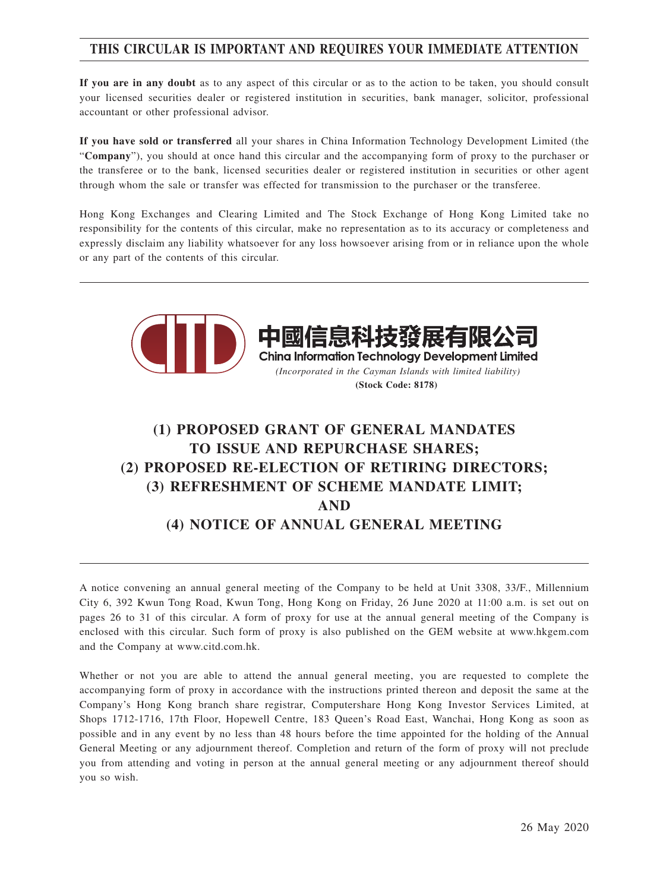## **THIS CIRCULAR IS IMPORTANT AND REQUIRES YOUR IMMEDIATE ATTENTION**

**If you are in any doubt** as to any aspect of this circular or as to the action to be taken, you should consult your licensed securities dealer or registered institution in securities, bank manager, solicitor, professional accountant or other professional advisor.

**If you have sold or transferred** all your shares in China Information Technology Development Limited (the "**Company**"), you should at once hand this circular and the accompanying form of proxy to the purchaser or the transferee or to the bank, licensed securities dealer or registered institution in securities or other agent through whom the sale or transfer was effected for transmission to the purchaser or the transferee.

Hong Kong Exchanges and Clearing Limited and The Stock Exchange of Hong Kong Limited take no responsibility for the contents of this circular, make no representation as to its accuracy or completeness and expressly disclaim any liability whatsoever for any loss howsoever arising from or in reliance upon the whole or any part of the contents of this circular.



# **(1) PROPOSED GRANT OF GENERAL MANDATES TO ISSUE AND REPURCHASE SHARES; (2) PROPOSED RE-ELECTION OF RETIRING DIRECTORS; (3) REFRESHMENT OF SCHEME MANDATE LIMIT; AND (4) NOTICE OF ANNUAL GENERAL MEETING**

A notice convening an annual general meeting of the Company to be held at Unit 3308, 33/F., Millennium City 6, 392 Kwun Tong Road, Kwun Tong, Hong Kong on Friday, 26 June 2020 at 11:00 a.m. is set out on pages 26 to 31 of this circular. A form of proxy for use at the annual general meeting of the Company is enclosed with this circular. Such form of proxy is also published on the GEM website at www.hkgem.com and the Company at www.citd.com.hk.

Whether or not you are able to attend the annual general meeting, you are requested to complete the accompanying form of proxy in accordance with the instructions printed thereon and deposit the same at the Company's Hong Kong branch share registrar, Computershare Hong Kong Investor Services Limited, at Shops 1712-1716, 17th Floor, Hopewell Centre, 183 Queen's Road East, Wanchai, Hong Kong as soon as possible and in any event by no less than 48 hours before the time appointed for the holding of the Annual General Meeting or any adjournment thereof. Completion and return of the form of proxy will not preclude you from attending and voting in person at the annual general meeting or any adjournment thereof should you so wish.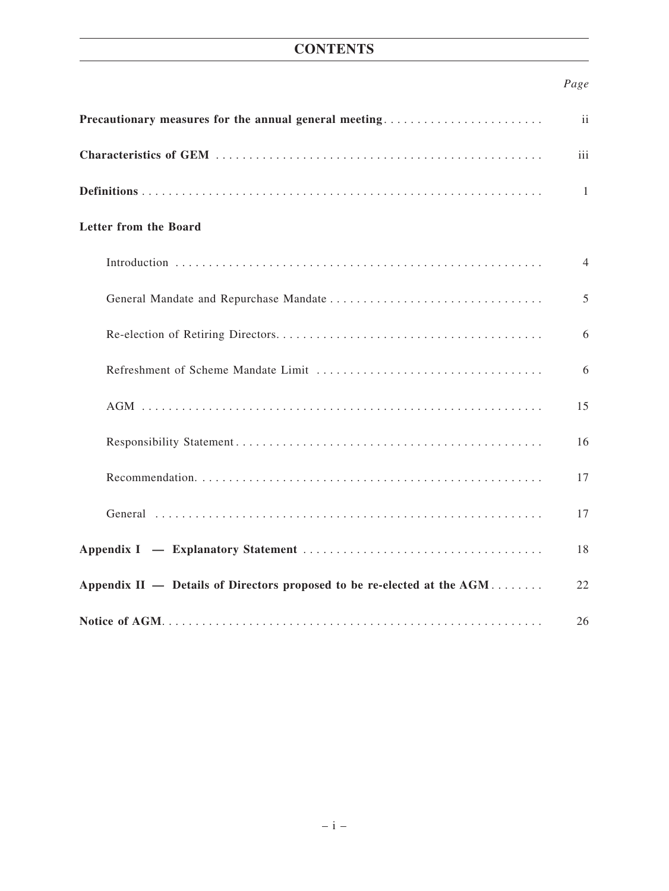# **CONTENTS**

## *Page*

| Precautionary measures for the annual general meeting                   | ii             |
|-------------------------------------------------------------------------|----------------|
|                                                                         | iii            |
|                                                                         | $\mathbf{1}$   |
| Letter from the Board                                                   |                |
|                                                                         | $\overline{4}$ |
|                                                                         | 5              |
|                                                                         | 6              |
|                                                                         | 6              |
|                                                                         | 15             |
|                                                                         | 16             |
|                                                                         | 17             |
|                                                                         | 17             |
|                                                                         | 18             |
| Appendix II — Details of Directors proposed to be re-elected at the AGM | 22             |
|                                                                         | 26             |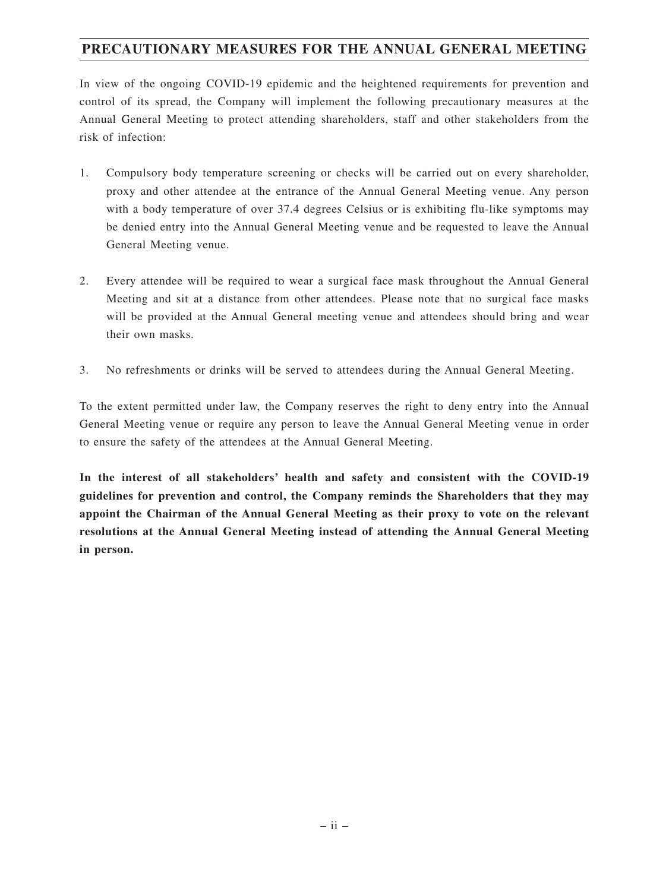## **PRECAUTIONARY MEASURES FOR THE ANNUAL GENERAL MEETING**

In view of the ongoing COVID-19 epidemic and the heightened requirements for prevention and control of its spread, the Company will implement the following precautionary measures at the Annual General Meeting to protect attending shareholders, staff and other stakeholders from the risk of infection:

- 1. Compulsory body temperature screening or checks will be carried out on every shareholder, proxy and other attendee at the entrance of the Annual General Meeting venue. Any person with a body temperature of over 37.4 degrees Celsius or is exhibiting flu-like symptoms may be denied entry into the Annual General Meeting venue and be requested to leave the Annual General Meeting venue.
- 2. Every attendee will be required to wear a surgical face mask throughout the Annual General Meeting and sit at a distance from other attendees. Please note that no surgical face masks will be provided at the Annual General meeting venue and attendees should bring and wear their own masks.
- 3. No refreshments or drinks will be served to attendees during the Annual General Meeting.

To the extent permitted under law, the Company reserves the right to deny entry into the Annual General Meeting venue or require any person to leave the Annual General Meeting venue in order to ensure the safety of the attendees at the Annual General Meeting.

**In the interest of all stakeholders' health and safety and consistent with the COVID-19 guidelines for prevention and control, the Company reminds the Shareholders that they may appoint the Chairman of the Annual General Meeting as their proxy to vote on the relevant resolutions at the Annual General Meeting instead of attending the Annual General Meeting in person.**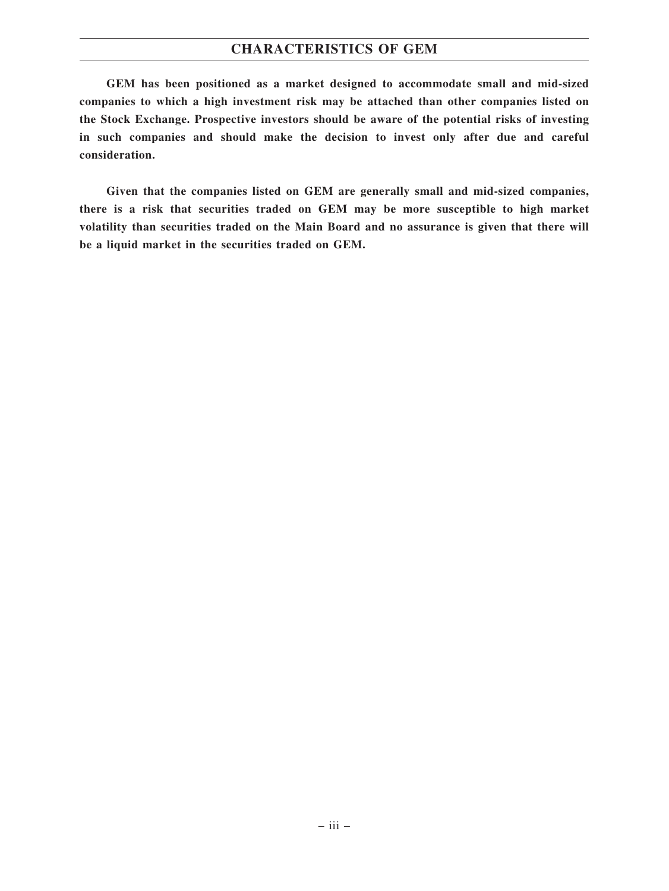## **CHARACTERISTICS OF GEM**

**GEM has been positioned as a market designed to accommodate small and mid-sized companies to which a high investment risk may be attached than other companies listed on the Stock Exchange. Prospective investors should be aware of the potential risks of investing in such companies and should make the decision to invest only after due and careful consideration.**

**Given that the companies listed on GEM are generally small and mid-sized companies, there is a risk that securities traded on GEM may be more susceptible to high market volatility than securities traded on the Main Board and no assurance is given that there will be a liquid market in the securities traded on GEM.**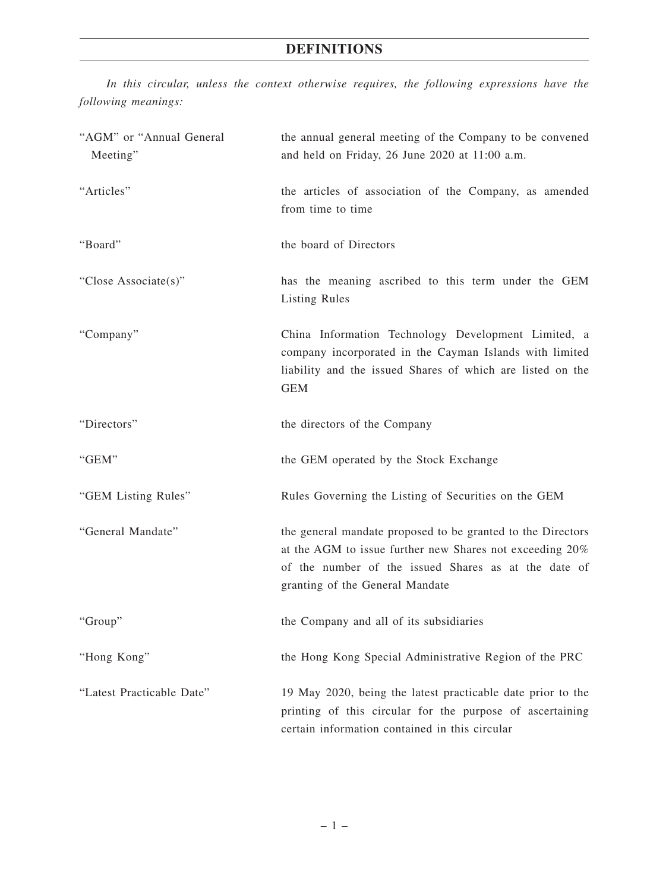*In this circular, unless the context otherwise requires, the following expressions have the following meanings:*

| "AGM" or "Annual General<br>Meeting" | the annual general meeting of the Company to be convened<br>and held on Friday, 26 June 2020 at 11:00 a.m.                                                                                                         |
|--------------------------------------|--------------------------------------------------------------------------------------------------------------------------------------------------------------------------------------------------------------------|
| "Articles"                           | the articles of association of the Company, as amended<br>from time to time                                                                                                                                        |
| "Board"                              | the board of Directors                                                                                                                                                                                             |
| "Close Associate(s)"                 | has the meaning ascribed to this term under the GEM<br><b>Listing Rules</b>                                                                                                                                        |
| "Company"                            | China Information Technology Development Limited, a<br>company incorporated in the Cayman Islands with limited<br>liability and the issued Shares of which are listed on the<br><b>GEM</b>                         |
| "Directors"                          | the directors of the Company                                                                                                                                                                                       |
| "GEM"                                | the GEM operated by the Stock Exchange                                                                                                                                                                             |
| "GEM Listing Rules"                  | Rules Governing the Listing of Securities on the GEM                                                                                                                                                               |
| "General Mandate"                    | the general mandate proposed to be granted to the Directors<br>at the AGM to issue further new Shares not exceeding 20%<br>of the number of the issued Shares as at the date of<br>granting of the General Mandate |
| "Group"                              | the Company and all of its subsidiaries                                                                                                                                                                            |
| "Hong Kong"                          | the Hong Kong Special Administrative Region of the PRC                                                                                                                                                             |
| "Latest Practicable Date"            | 19 May 2020, being the latest practicable date prior to the<br>printing of this circular for the purpose of ascertaining<br>certain information contained in this circular                                         |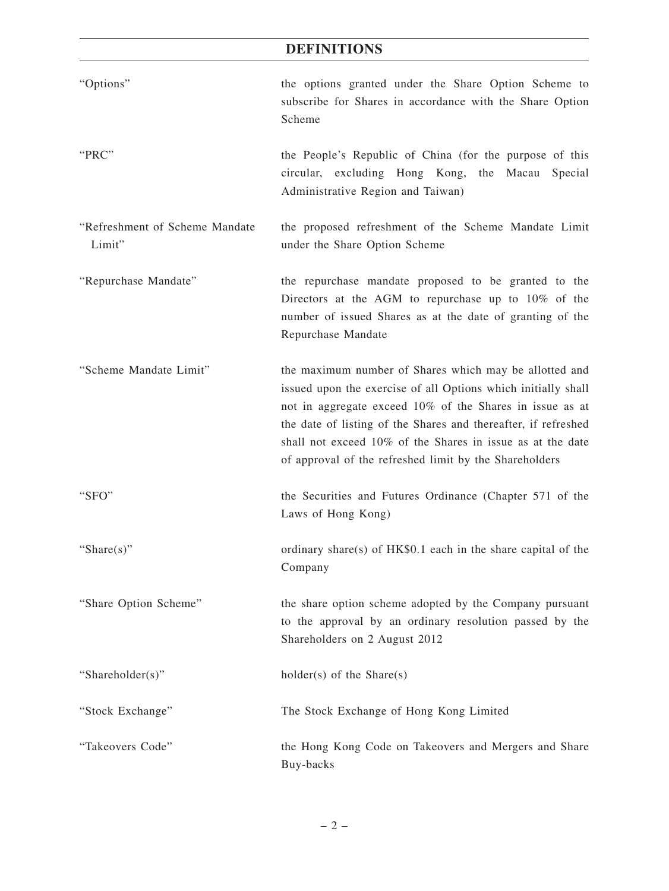## **DEFINITIONS**

| "Options"                                | the options granted under the Share Option Scheme to<br>subscribe for Shares in accordance with the Share Option<br>Scheme                                                                                                                                                                                                                                                    |
|------------------------------------------|-------------------------------------------------------------------------------------------------------------------------------------------------------------------------------------------------------------------------------------------------------------------------------------------------------------------------------------------------------------------------------|
| "PRC"                                    | the People's Republic of China (for the purpose of this<br>circular, excluding Hong Kong, the Macau<br>Special<br>Administrative Region and Taiwan)                                                                                                                                                                                                                           |
| "Refreshment of Scheme Mandate<br>Limit" | the proposed refreshment of the Scheme Mandate Limit<br>under the Share Option Scheme                                                                                                                                                                                                                                                                                         |
| "Repurchase Mandate"                     | the repurchase mandate proposed to be granted to the<br>Directors at the AGM to repurchase up to 10% of the<br>number of issued Shares as at the date of granting of the<br>Repurchase Mandate                                                                                                                                                                                |
| "Scheme Mandate Limit"                   | the maximum number of Shares which may be allotted and<br>issued upon the exercise of all Options which initially shall<br>not in aggregate exceed 10% of the Shares in issue as at<br>the date of listing of the Shares and thereafter, if refreshed<br>shall not exceed 10% of the Shares in issue as at the date<br>of approval of the refreshed limit by the Shareholders |
| "SFO"                                    | the Securities and Futures Ordinance (Chapter 571 of the<br>Laws of Hong Kong)                                                                                                                                                                                                                                                                                                |
| "Share $(s)$ "                           | ordinary share(s) of HK\$0.1 each in the share capital of the<br>Company                                                                                                                                                                                                                                                                                                      |
| "Share Option Scheme"                    | the share option scheme adopted by the Company pursuant<br>to the approval by an ordinary resolution passed by the<br>Shareholders on 2 August 2012                                                                                                                                                                                                                           |
| "Shareholder(s)"                         | holder(s) of the Share(s)                                                                                                                                                                                                                                                                                                                                                     |
| "Stock Exchange"                         | The Stock Exchange of Hong Kong Limited                                                                                                                                                                                                                                                                                                                                       |
| "Takeovers Code"                         | the Hong Kong Code on Takeovers and Mergers and Share<br>Buy-backs                                                                                                                                                                                                                                                                                                            |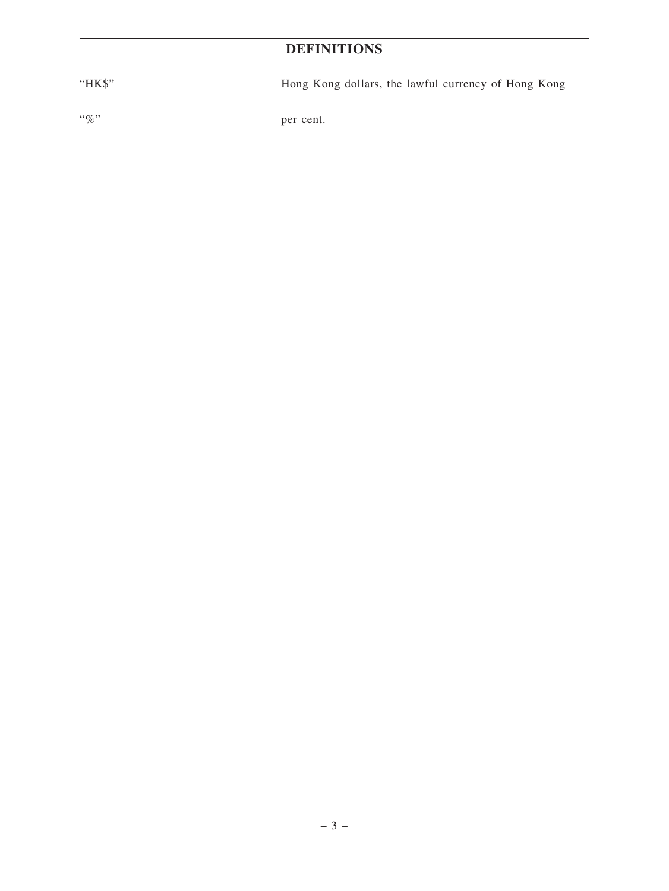# **DEFINITIONS**

"HK\$" Hong Kong dollars, the lawful currency of Hong Kong "%" per cent.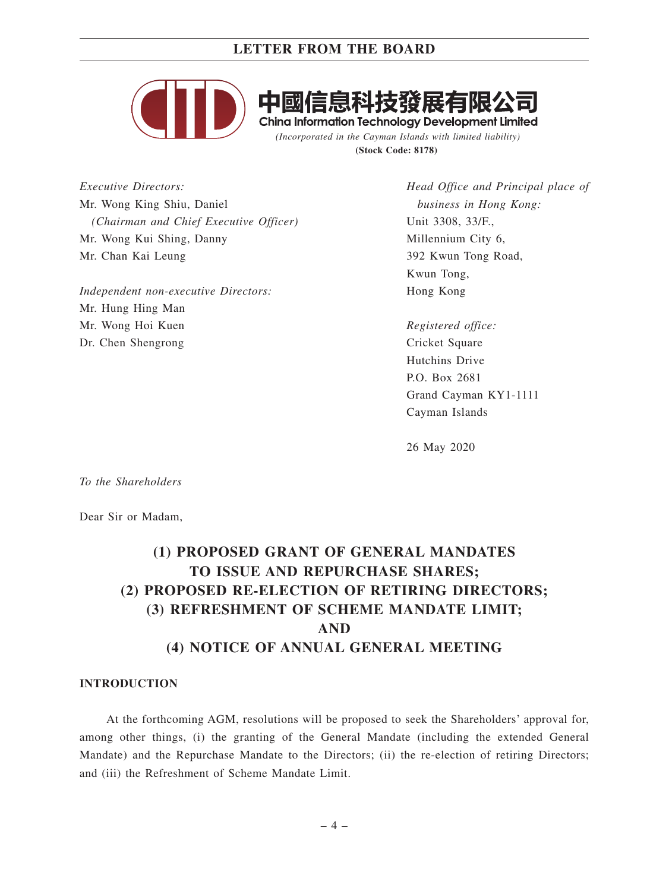

**China Information Technology Development Limited** *(Incorporated in the Cayman Islands with limited liability)*

**(Stock Code: 8178)**

*Executive Directors:* Mr. Wong King Shiu, Daniel *(Chairman and Chief Executive Officer)* Mr. Wong Kui Shing, Danny Mr. Chan Kai Leung

*Independent non-executive Directors:* Mr. Hung Hing Man Mr. Wong Hoi Kuen Dr. Chen Shengrong

*Head Office and Principal place of business in Hong Kong:* Unit 3308, 33/F., Millennium City 6, 392 Kwun Tong Road, Kwun Tong, Hong Kong

*Registered office:* Cricket Square Hutchins Drive P.O. Box 2681 Grand Cayman KY1-1111 Cayman Islands

26 May 2020

*To the Shareholders*

Dear Sir or Madam,

# **(1) PROPOSED GRANT OF GENERAL MANDATES TO ISSUE AND REPURCHASE SHARES; (2) PROPOSED RE-ELECTION OF RETIRING DIRECTORS; (3) REFRESHMENT OF SCHEME MANDATE LIMIT; AND (4) NOTICE OF ANNUAL GENERAL MEETING**

#### **INTRODUCTION**

At the forthcoming AGM, resolutions will be proposed to seek the Shareholders' approval for, among other things, (i) the granting of the General Mandate (including the extended General Mandate) and the Repurchase Mandate to the Directors; (ii) the re-election of retiring Directors; and (iii) the Refreshment of Scheme Mandate Limit.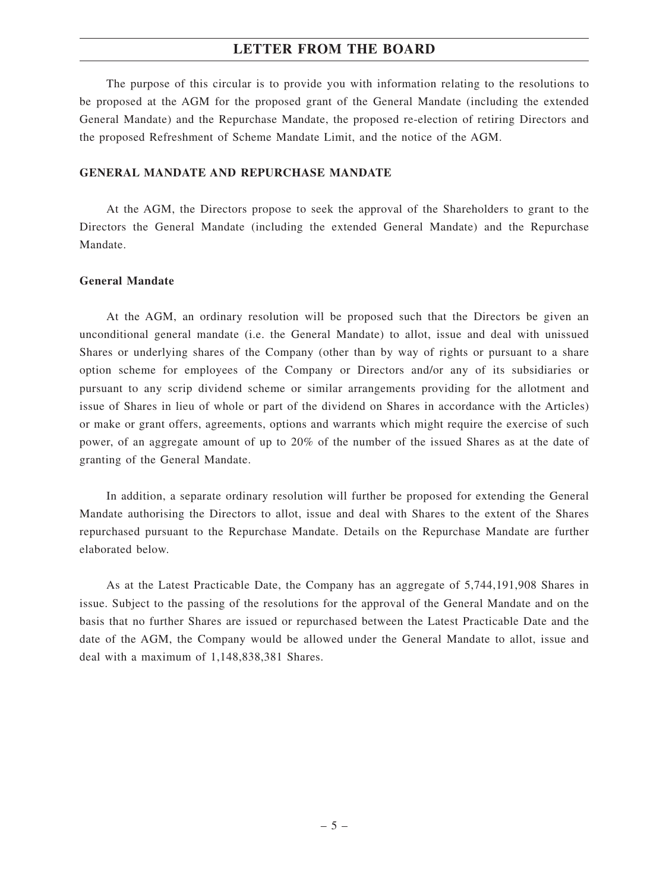The purpose of this circular is to provide you with information relating to the resolutions to be proposed at the AGM for the proposed grant of the General Mandate (including the extended General Mandate) and the Repurchase Mandate, the proposed re-election of retiring Directors and the proposed Refreshment of Scheme Mandate Limit, and the notice of the AGM.

#### **GENERAL MANDATE AND REPURCHASE MANDATE**

At the AGM, the Directors propose to seek the approval of the Shareholders to grant to the Directors the General Mandate (including the extended General Mandate) and the Repurchase Mandate.

## **General Mandate**

At the AGM, an ordinary resolution will be proposed such that the Directors be given an unconditional general mandate (i.e. the General Mandate) to allot, issue and deal with unissued Shares or underlying shares of the Company (other than by way of rights or pursuant to a share option scheme for employees of the Company or Directors and/or any of its subsidiaries or pursuant to any scrip dividend scheme or similar arrangements providing for the allotment and issue of Shares in lieu of whole or part of the dividend on Shares in accordance with the Articles) or make or grant offers, agreements, options and warrants which might require the exercise of such power, of an aggregate amount of up to 20% of the number of the issued Shares as at the date of granting of the General Mandate.

In addition, a separate ordinary resolution will further be proposed for extending the General Mandate authorising the Directors to allot, issue and deal with Shares to the extent of the Shares repurchased pursuant to the Repurchase Mandate. Details on the Repurchase Mandate are further elaborated below.

As at the Latest Practicable Date, the Company has an aggregate of 5,744,191,908 Shares in issue. Subject to the passing of the resolutions for the approval of the General Mandate and on the basis that no further Shares are issued or repurchased between the Latest Practicable Date and the date of the AGM, the Company would be allowed under the General Mandate to allot, issue and deal with a maximum of 1,148,838,381 Shares.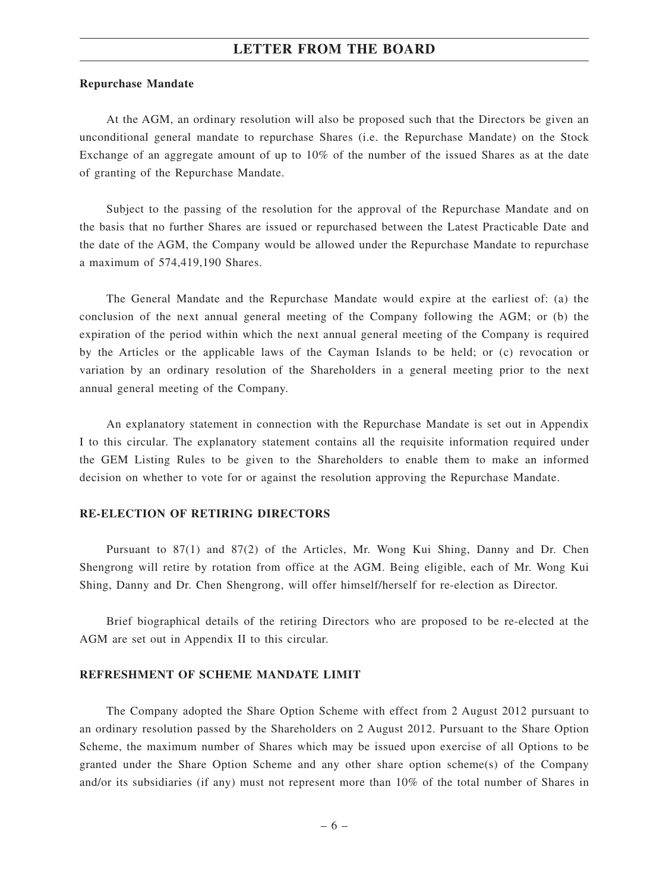#### **Repurchase Mandate**

At the AGM, an ordinary resolution will also be proposed such that the Directors be given an unconditional general mandate to repurchase Shares (i.e. the Repurchase Mandate) on the Stock Exchange of an aggregate amount of up to 10% of the number of the issued Shares as at the date of granting of the Repurchase Mandate.

Subject to the passing of the resolution for the approval of the Repurchase Mandate and on the basis that no further Shares are issued or repurchased between the Latest Practicable Date and the date of the AGM, the Company would be allowed under the Repurchase Mandate to repurchase a maximum of 574,419,190 Shares.

The General Mandate and the Repurchase Mandate would expire at the earliest of: (a) the conclusion of the next annual general meeting of the Company following the AGM; or (b) the expiration of the period within which the next annual general meeting of the Company is required by the Articles or the applicable laws of the Cayman Islands to be held; or (c) revocation or variation by an ordinary resolution of the Shareholders in a general meeting prior to the next annual general meeting of the Company.

An explanatory statement in connection with the Repurchase Mandate is set out in Appendix I to this circular. The explanatory statement contains all the requisite information required under the GEM Listing Rules to be given to the Shareholders to enable them to make an informed decision on whether to vote for or against the resolution approving the Repurchase Mandate.

#### **RE-ELECTION OF RETIRING DIRECTORS**

Pursuant to 87(1) and 87(2) of the Articles, Mr. Wong Kui Shing, Danny and Dr. Chen Shengrong will retire by rotation from office at the AGM. Being eligible, each of Mr. Wong Kui Shing, Danny and Dr. Chen Shengrong, will offer himself/herself for re-election as Director.

Brief biographical details of the retiring Directors who are proposed to be re-elected at the AGM are set out in Appendix II to this circular.

#### **REFRESHMENT OF SCHEME MANDATE LIMIT**

The Company adopted the Share Option Scheme with effect from 2 August 2012 pursuant to an ordinary resolution passed by the Shareholders on 2 August 2012. Pursuant to the Share Option Scheme, the maximum number of Shares which may be issued upon exercise of all Options to be granted under the Share Option Scheme and any other share option scheme(s) of the Company and/or its subsidiaries (if any) must not represent more than 10% of the total number of Shares in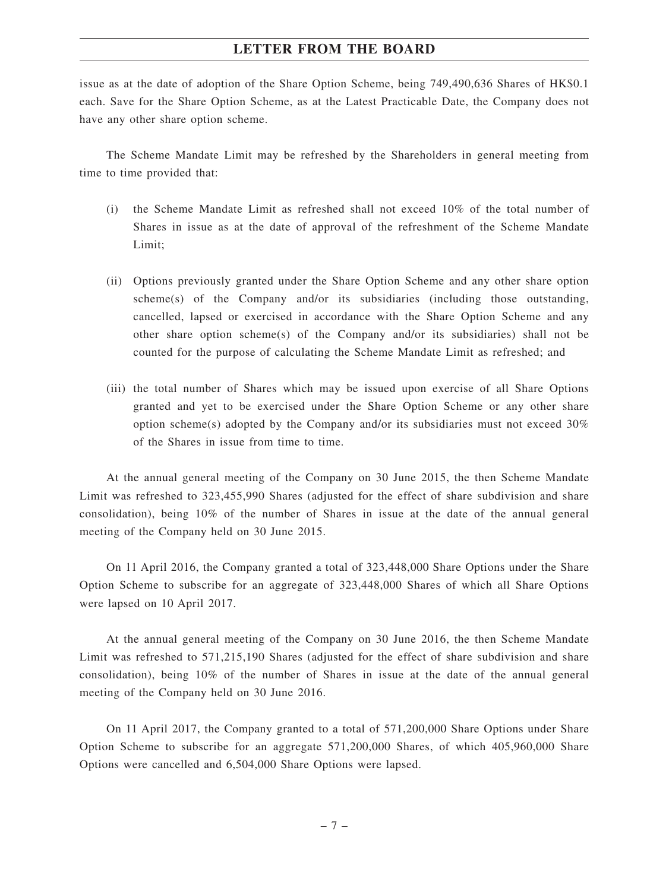issue as at the date of adoption of the Share Option Scheme, being 749,490,636 Shares of HK\$0.1 each. Save for the Share Option Scheme, as at the Latest Practicable Date, the Company does not have any other share option scheme.

The Scheme Mandate Limit may be refreshed by the Shareholders in general meeting from time to time provided that:

- (i) the Scheme Mandate Limit as refreshed shall not exceed 10% of the total number of Shares in issue as at the date of approval of the refreshment of the Scheme Mandate Limit;
- (ii) Options previously granted under the Share Option Scheme and any other share option scheme(s) of the Company and/or its subsidiaries (including those outstanding, cancelled, lapsed or exercised in accordance with the Share Option Scheme and any other share option scheme(s) of the Company and/or its subsidiaries) shall not be counted for the purpose of calculating the Scheme Mandate Limit as refreshed; and
- (iii) the total number of Shares which may be issued upon exercise of all Share Options granted and yet to be exercised under the Share Option Scheme or any other share option scheme(s) adopted by the Company and/or its subsidiaries must not exceed 30% of the Shares in issue from time to time.

At the annual general meeting of the Company on 30 June 2015, the then Scheme Mandate Limit was refreshed to 323,455,990 Shares (adjusted for the effect of share subdivision and share consolidation), being 10% of the number of Shares in issue at the date of the annual general meeting of the Company held on 30 June 2015.

On 11 April 2016, the Company granted a total of 323,448,000 Share Options under the Share Option Scheme to subscribe for an aggregate of 323,448,000 Shares of which all Share Options were lapsed on 10 April 2017.

At the annual general meeting of the Company on 30 June 2016, the then Scheme Mandate Limit was refreshed to 571,215,190 Shares (adjusted for the effect of share subdivision and share consolidation), being 10% of the number of Shares in issue at the date of the annual general meeting of the Company held on 30 June 2016.

On 11 April 2017, the Company granted to a total of 571,200,000 Share Options under Share Option Scheme to subscribe for an aggregate 571,200,000 Shares, of which 405,960,000 Share Options were cancelled and 6,504,000 Share Options were lapsed.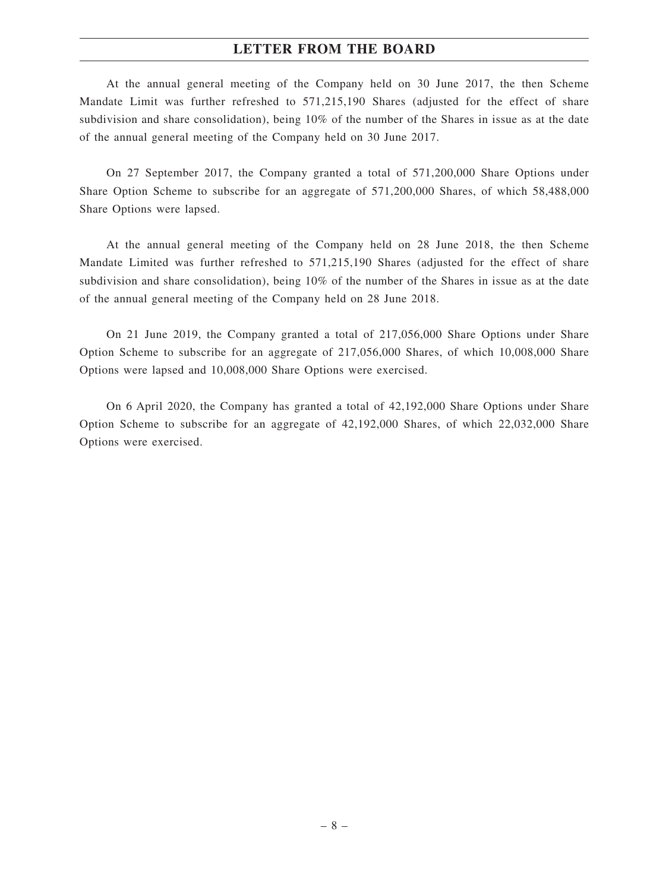At the annual general meeting of the Company held on 30 June 2017, the then Scheme Mandate Limit was further refreshed to 571,215,190 Shares (adjusted for the effect of share subdivision and share consolidation), being 10% of the number of the Shares in issue as at the date of the annual general meeting of the Company held on 30 June 2017.

On 27 September 2017, the Company granted a total of 571,200,000 Share Options under Share Option Scheme to subscribe for an aggregate of 571,200,000 Shares, of which 58,488,000 Share Options were lapsed.

At the annual general meeting of the Company held on 28 June 2018, the then Scheme Mandate Limited was further refreshed to 571,215,190 Shares (adjusted for the effect of share subdivision and share consolidation), being 10% of the number of the Shares in issue as at the date of the annual general meeting of the Company held on 28 June 2018.

On 21 June 2019, the Company granted a total of 217,056,000 Share Options under Share Option Scheme to subscribe for an aggregate of 217,056,000 Shares, of which 10,008,000 Share Options were lapsed and 10,008,000 Share Options were exercised.

On 6 April 2020, the Company has granted a total of 42,192,000 Share Options under Share Option Scheme to subscribe for an aggregate of 42,192,000 Shares, of which 22,032,000 Share Options were exercised.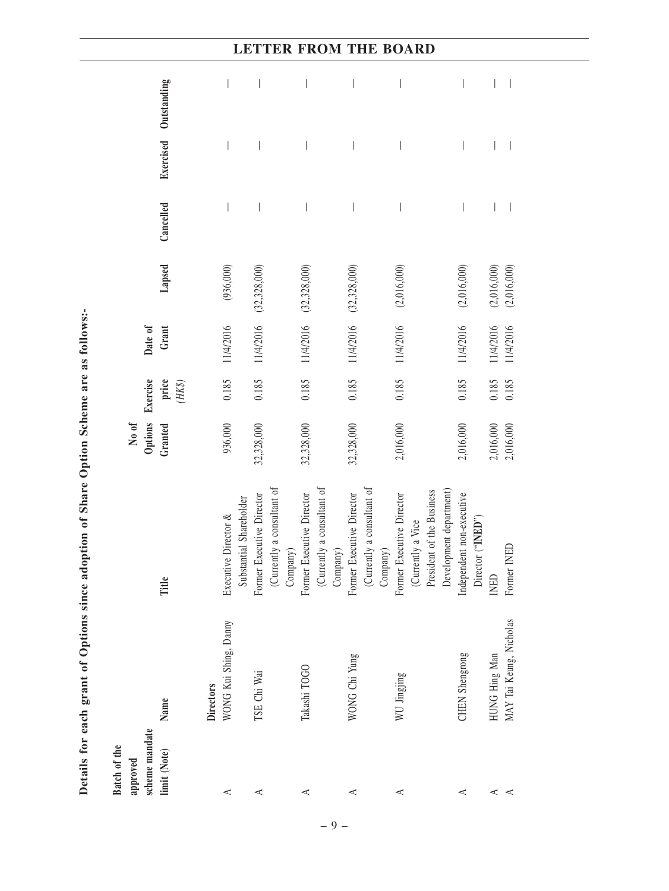|                                                            |                                                    |                                                                     | <b>TTER FROM THE BOARD</b>                                                                             |                                                                                     |                                                                                                        |                                                |                                          |  |
|------------------------------------------------------------|----------------------------------------------------|---------------------------------------------------------------------|--------------------------------------------------------------------------------------------------------|-------------------------------------------------------------------------------------|--------------------------------------------------------------------------------------------------------|------------------------------------------------|------------------------------------------|--|
| Outstanding                                                |                                                    |                                                                     |                                                                                                        | I                                                                                   |                                                                                                        |                                                |                                          |  |
| Exercised                                                  |                                                    |                                                                     |                                                                                                        |                                                                                     |                                                                                                        |                                                |                                          |  |
| Cancelled                                                  |                                                    | $\overline{\phantom{a}}$                                            |                                                                                                        |                                                                                     |                                                                                                        |                                                |                                          |  |
| Lapsed                                                     | (936,000)                                          | (32, 328, 000)                                                      | (32, 328, 000)                                                                                         | (32, 328, 000)                                                                      | (2,016,000)                                                                                            | (2,016,000)                                    | (2,016,000)<br>(2,016,000)               |  |
| Date of<br>Grant                                           | 11/4/2016                                          | 11/4/2016                                                           | 11/4/2016                                                                                              | 11/4/2016                                                                           | 11/4/2016                                                                                              | 11/4/2016                                      | 11/4/2016<br>11/4/2016                   |  |
| Exercise<br>price<br>$(HK\$                                | 0.185                                              | 0.185                                                               | 0.185                                                                                                  | 0.185                                                                               | 0.185                                                                                                  | 0.185                                          | 0.185<br>0.185                           |  |
| Options<br>No of<br>Granted                                | 936,000                                            | 32,328,000                                                          | 32,328,000                                                                                             | 32,328,000                                                                          | 2,016,000                                                                                              | 2,016,000                                      | 2,016,000<br>2,016,000                   |  |
| Title                                                      | Shareholder<br>Executive Director &<br>Substantial | (Currently a consultant of<br>Former Executive Director<br>Company) | (Currently a consultant of $% \left\vert \cdot \right\rangle$<br>Former Executive Director<br>Company) | (Currently a consultant of $% \mathcal{N}$<br>Former Executive Director<br>Company) | Development department)<br>(Currently a Vice<br>President of the Business<br>Former Executive Director | Independent non-executive<br>Director ("INED") | Former INED<br>INED                      |  |
| Name                                                       | WONG Kui Shing, Danny<br><b>Directors</b>          | TSE Chi Wai                                                         | Takashi TOGO                                                                                           | WONG Chi Yung                                                                       | WU Jingjing                                                                                            | CHEN Shengrong                                 | MAY Tai Keung, Nicholas<br>HUNG Hing Man |  |
| scheme mandate<br>Batch of the<br>limit (Note)<br>approved | ⋖                                                  | ⋖                                                                   | ⋖                                                                                                      | ⋖                                                                                   | ⋖                                                                                                      | ⋖                                              | ≺<br>⋖                                   |  |

Details for each grant of Options since adoption of Share Option Scheme are as follows:-Details for each grant of Options since adoption of Share Option Scheme are as follows:-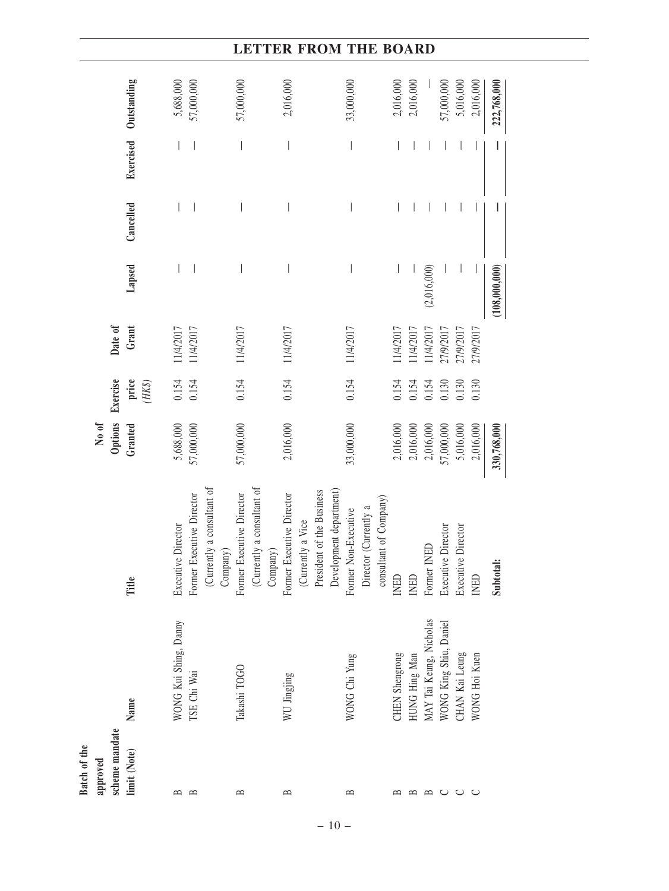| Exercised Outstanding                                      | 5,688,000<br>57,000,000                                                       | 57,000,000                                                          | 2,016,000                                                  | 33,000,000                                                                                                                      | 2,016,000      | 2,016,000                                | 57,000,000             | 5,016,000          | 2,016,000<br>222,768,000 |
|------------------------------------------------------------|-------------------------------------------------------------------------------|---------------------------------------------------------------------|------------------------------------------------------------|---------------------------------------------------------------------------------------------------------------------------------|----------------|------------------------------------------|------------------------|--------------------|--------------------------|
|                                                            |                                                                               |                                                                     | $\overline{\phantom{a}}$                                   |                                                                                                                                 |                |                                          |                        |                    |                          |
| Cancelled                                                  |                                                                               |                                                                     |                                                            |                                                                                                                                 |                |                                          |                        |                    |                          |
| Lapsed                                                     |                                                                               |                                                                     |                                                            |                                                                                                                                 |                | (2,016,000)                              |                        |                    | (108,000,000)            |
| Date of<br>Grant                                           | 11/4/2017<br>11/4/2017                                                        | 11/4/2017                                                           | 11/4/2017                                                  | 11/4/2017                                                                                                                       | 11/4/2017      | 11/4/2017<br>11/4/2017                   | 27/9/2017              | 27/9/2017          | 27/9/2017                |
| Exercise<br>price<br>$(HK\$                                | 0.154<br>0.154                                                                | 0.154                                                               | 0.154                                                      | 0.154                                                                                                                           | 0.154          | 0.154<br>0.154                           | 0.130                  | 0.130              | 0.130                    |
| Options<br>No of<br>Granted                                | 5,688,000<br>57,000,000                                                       | 57,000,000                                                          | 2,016,000                                                  | 33,000,000                                                                                                                      | 2,016,000      | 2,016,000<br>2,016,000                   | 57,000,000             | 5,016,000          | 2,016,000<br>330,768,000 |
| Title                                                      | (Currently a consultant of<br>Former Executive Director<br>Executive Director | (Currently a consultant of<br>Former Executive Director<br>Company) | Former Executive Director<br>(Currently a Vice<br>Company) | Development department)<br>President of the Business<br>consultant of Company)<br>Director (Currently a<br>Former Non-Executive | <b>INED</b>    | Former INED<br><b>INED</b>               | Executive Director     | Executive Director | Subtotal:<br><b>INED</b> |
| Name                                                       | WONG Kui Shing, Danny<br>TSE Chi Wai                                          | Takashi TOGO                                                        | WU Jingjing                                                | WONG Chi Yung                                                                                                                   | CHEN Shengrong | MAY Tai Keung, Nicholas<br>HUNG Hing Man | WONG King Shiu, Daniel | CHAN Kai Leung     | WONG Hoi Kuen            |
| scheme mandate<br>Batch of the<br>limit (Note)<br>approved | $\mathbf{r}$<br>≏                                                             | $\mathbf{m}$                                                        | $\approx$                                                  | $\mathbf{\Omega}$                                                                                                               |                | ≃                                        | ల                      |                    |                          |

– 10 –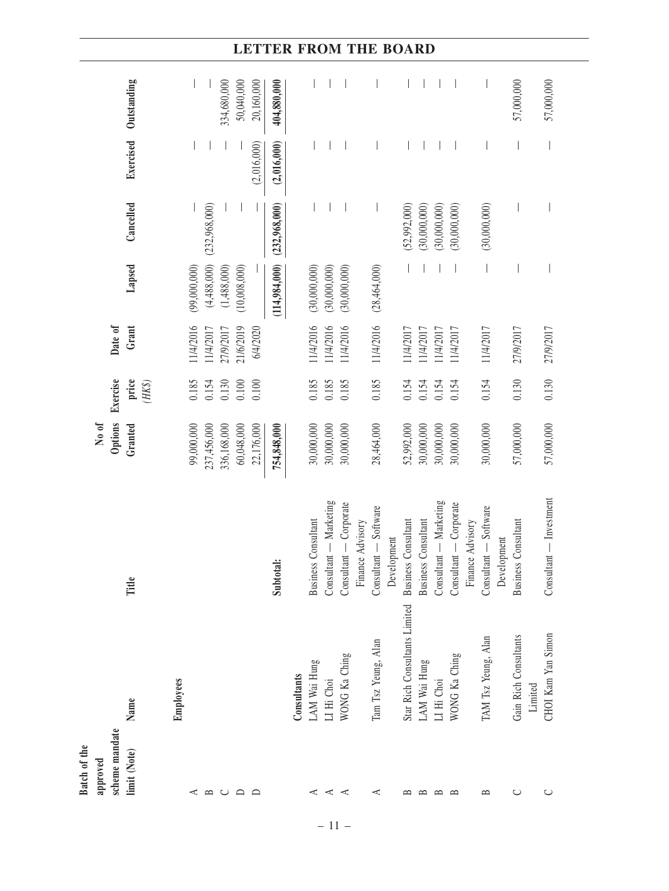| Batch of the   |                                  |                                      |             |                 |           |               |               |             |             |
|----------------|----------------------------------|--------------------------------------|-------------|-----------------|-----------|---------------|---------------|-------------|-------------|
| approved       |                                  |                                      | No of       |                 |           |               |               |             |             |
| scheme mandate |                                  |                                      | Options     | Exercise        | Date of   |               |               |             |             |
| limit (Note)   | Name                             | Title                                | Granted     | price<br>$(HK\$ | Grant     | Lapsed        | Cancelled     | Exercised   | Outstanding |
|                | Employees                        |                                      |             |                 |           |               |               |             |             |
| ⋖              |                                  |                                      | 99,000,000  | 0.185           | 11/4/2016 | (99,000,000)  |               |             |             |
| $\mathbf{r}$   |                                  |                                      | 237,456,000 | 0.154           | 11/4/2017 | (4,488,000)   | (232,968,000) |             |             |
| $\cup$         |                                  |                                      | 336,168,000 | 0.130           | 27/9/2017 | (1,488,000)   |               |             | 334,680,000 |
| $\Box$         |                                  |                                      | 60,048,000  | 0.100           | 21/6/2019 | (10,008,000)  |               |             | 50,040,000  |
| $\Box$         |                                  |                                      | 22,176,000  | 0.100           | 6/4/2020  |               |               | (2,016,000) | 20,160,000  |
|                |                                  | Subtotal:                            | 754,848,000 |                 |           | (114,984,000) | (232,968,000) | (2,016,000) | 404,880,000 |
|                | Consultants                      |                                      |             |                 |           |               |               |             |             |
| ⋖              | LAM Wai Hung                     | <b>Business Consultant</b>           | 30,000,000  | 0.185           | 11/4/2016 | (30,000,000)  |               |             |             |
| ⋖              | LI Hi Choi                       | Consultant - Marketing               | 30,000,000  | 0.185           | 11/4/2016 | (30,000,000)  |               |             |             |
| ⋖              | WONG Ka Ching                    | Consultant - Corporate               | 30,000,000  | 0.185           | 11/4/2016 | (30,000,000)  |               |             |             |
|                |                                  | Finance Advisory                     |             |                 |           |               |               |             |             |
| ⋖              | Tam Tsz Yeung, Alan              | Consultant - Software                | 28,464,000  | 0.185           | 11/4/2016 | (28,464,000)  |               |             |             |
|                |                                  | Development                          |             |                 |           |               |               |             |             |
| ≃              | Star Rich Consultants Limited    | <b>Business Consultant</b>           | 52,992,000  | 0.154           | 11/4/2017 |               | (52,992,000)  |             |             |
| $\mathbf{r}$   | LAM Wai Hung                     | <b>Business Consultant</b>           | 30,000,000  | 0.154           | 11/4/2017 |               | (30,000,000)  |             |             |
| ≏              | LI Hi Choi                       | Consultant - Marketing               | 30,000,000  | 0.154           | 11/4/2017 |               | (30,000,000)  |             |             |
| $\mathbf{p}$   | WONG Ka Ching                    | Consultant - Corporate               | 30,000,000  | 0.154           | 11/4/2017 |               | (30,000,000)  |             |             |
|                |                                  | Finance Advisory                     |             |                 |           |               |               |             |             |
| $\approx$      | TAM Tsz Yeung, Alan              | Consultant - Software<br>Development | 30,000,000  | 0.154           | 11/4/2017 |               | (30,000,000)  |             |             |
| $\cup$         | Gain Rich Consultants<br>Limited | <b>Business Consultant</b>           | 57,000,000  | 0.130           | 27/9/2017 |               |               |             | 57,000,000  |
| $\cup$         | CHOI Kam Yan Simon               | Consultant — Investment              | 57,000,000  | 0.130           | 27/9/2017 |               |               |             | 57,000,000  |
|                |                                  |                                      |             |                 |           |               |               |             |             |

– 11 –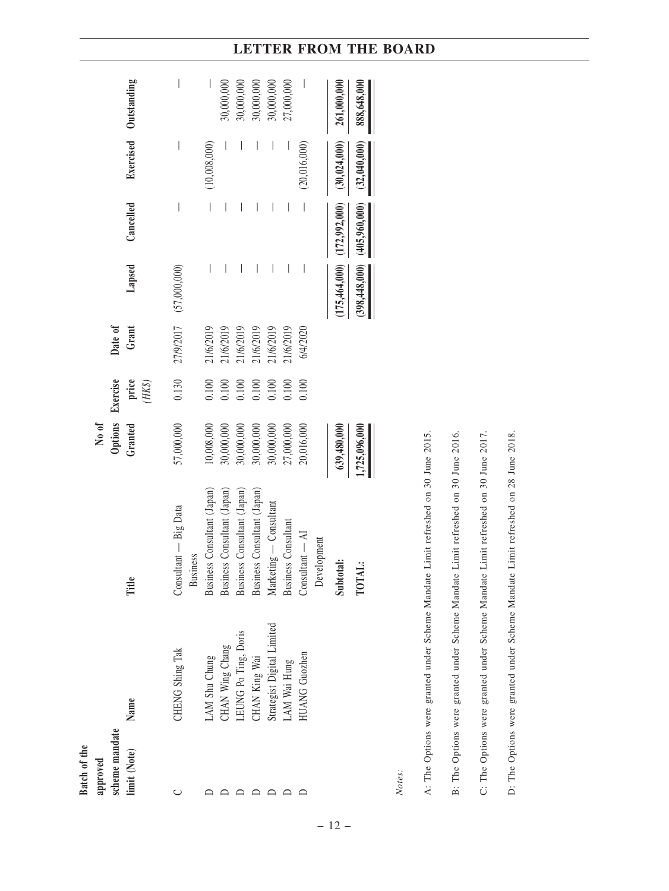|                                            | Exercised Outstanding      | $\bigg $                                 |                             | 30,000,000                  | 30,000,000                  | 30,000,000                  | 30,000,000                 | 27,000,000                 |                                          | 261,000,000                     | 888,648,000     |
|--------------------------------------------|----------------------------|------------------------------------------|-----------------------------|-----------------------------|-----------------------------|-----------------------------|----------------------------|----------------------------|------------------------------------------|---------------------------------|-----------------|
|                                            |                            | $\bigg $                                 | (10,008,000)                |                             |                             |                             | $\overline{\phantom{a}}$   |                            | (20, 016, 000)                           | (30, 024, 000)                  | (32,040,000)    |
|                                            | Cancelled                  | $\bigg $                                 | $\bigg  \hspace{0.1 cm}$    |                             |                             | I                           | $\overline{\phantom{a}}$   | $\bigg $                   | $\begin{array}{c} \end{array}$           |                                 | (405,960,000)   |
|                                            | Lapsed                     | 27/9/2017 (57,000,000)                   | $\overline{\phantom{a}}$    |                             |                             |                             | $\overline{\phantom{a}}$   | $\bigg $                   | I                                        | $(175,464,000)$ $(172,992,000)$ | (398, 448, 000) |
| Date of                                    | Grant                      |                                          | 21/6/2019                   | 21/6/2019                   | 21/6/2019                   | 21/6/2019                   | 21/6/2019                  | 21/6/2019                  | 6/4/2020                                 |                                 |                 |
|                                            | price<br>$(HK\mathcal{S})$ | 0.130                                    | $0.100$                     | 0.100                       | 0.100                       | 0.100                       | 0.100                      | 0.100                      | 0.100                                    |                                 |                 |
| Options Exercise<br>No of                  | Granted                    | 57,000,000                               | 10,008,000                  | 30,000,000                  | 30,000,000                  | 30,000,000                  | 30,000,000                 | 27,000,000                 | 20,016,000                               | 639,480,000                     | 1,725,096,000   |
|                                            | Title                      | Consultant - Big Data<br><b>Business</b> | Business Consultant (Japan) | Business Consultant (Japan) | Business Consultant (Japan) | Business Consultant (Japan) | Marketing — Consultant     | <b>Business Consultant</b> | Consultant $-\mathbf{AI}$<br>Development | Subtotal:                       | TOTAL:          |
|                                            | Name                       | CHENG Shing Tak                          | AM Shu Chung                | CHAN Wing Chang             | .EUNG Po Ting, Doris        | CHAN King Wai               | Strategist Digital Limited | AM Wai Hung                | <b>IUANG</b> Guozhen                     |                                 |                 |
| scheme mandate<br>Batch of the<br>approved | limit (Note)               |                                          |                             |                             |                             |                             |                            |                            |                                          |                                 |                 |

*Notes:*

– 12 –

A: The Options were granted under Scheme Mandate Limit refreshed on 30 June 2015. B: The Options were granted under Scheme Mandate Limit refreshed on 30 June 2016. A: The Options were granted under Scheme Mandate Limit refreshed on 30 June 2015. B: The Options were granted under Scheme Mandate Limit refreshed on 30 June 2016.

C: The Options were granted under Scheme Mandate Limit refreshed on 30 June 2017. C: The Options were granted under Scheme Mandate Limit refreshed on 30 June 2017.

D: The Options were granted under Scheme Mandate Limit refreshed on 28 June 2018. D: The Options were granted under Scheme Mandate Limit refreshed on 28 June 2018.

# **LETTER FROM THE BOARD**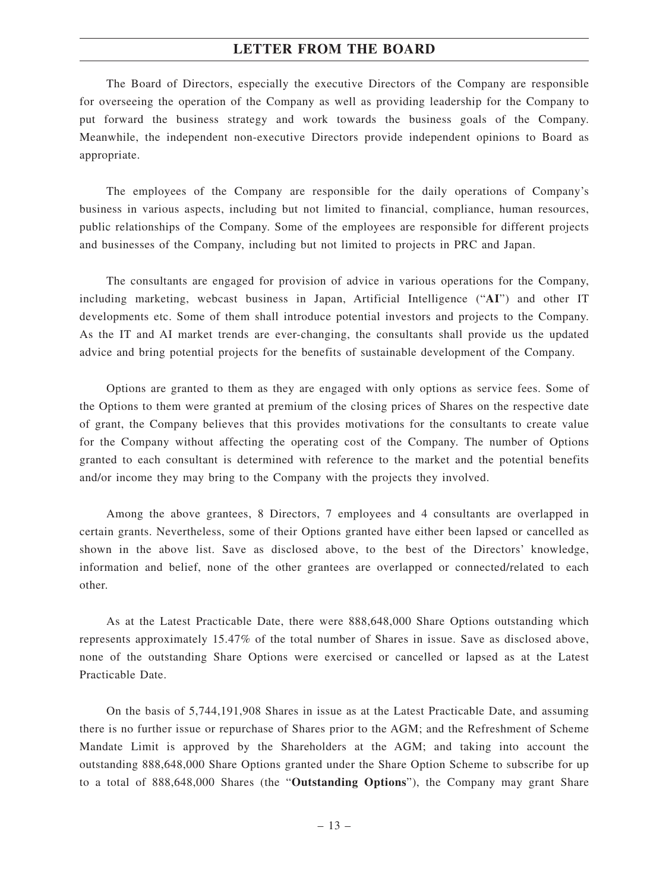The Board of Directors, especially the executive Directors of the Company are responsible for overseeing the operation of the Company as well as providing leadership for the Company to put forward the business strategy and work towards the business goals of the Company. Meanwhile, the independent non-executive Directors provide independent opinions to Board as appropriate.

The employees of the Company are responsible for the daily operations of Company's business in various aspects, including but not limited to financial, compliance, human resources, public relationships of the Company. Some of the employees are responsible for different projects and businesses of the Company, including but not limited to projects in PRC and Japan.

The consultants are engaged for provision of advice in various operations for the Company, including marketing, webcast business in Japan, Artificial Intelligence ("**AI**") and other IT developments etc. Some of them shall introduce potential investors and projects to the Company. As the IT and AI market trends are ever-changing, the consultants shall provide us the updated advice and bring potential projects for the benefits of sustainable development of the Company.

Options are granted to them as they are engaged with only options as service fees. Some of the Options to them were granted at premium of the closing prices of Shares on the respective date of grant, the Company believes that this provides motivations for the consultants to create value for the Company without affecting the operating cost of the Company. The number of Options granted to each consultant is determined with reference to the market and the potential benefits and/or income they may bring to the Company with the projects they involved.

Among the above grantees, 8 Directors, 7 employees and 4 consultants are overlapped in certain grants. Nevertheless, some of their Options granted have either been lapsed or cancelled as shown in the above list. Save as disclosed above, to the best of the Directors' knowledge, information and belief, none of the other grantees are overlapped or connected/related to each other.

As at the Latest Practicable Date, there were 888,648,000 Share Options outstanding which represents approximately 15.47% of the total number of Shares in issue. Save as disclosed above, none of the outstanding Share Options were exercised or cancelled or lapsed as at the Latest Practicable Date.

On the basis of 5,744,191,908 Shares in issue as at the Latest Practicable Date, and assuming there is no further issue or repurchase of Shares prior to the AGM; and the Refreshment of Scheme Mandate Limit is approved by the Shareholders at the AGM; and taking into account the outstanding 888,648,000 Share Options granted under the Share Option Scheme to subscribe for up to a total of 888,648,000 Shares (the "**Outstanding Options**"), the Company may grant Share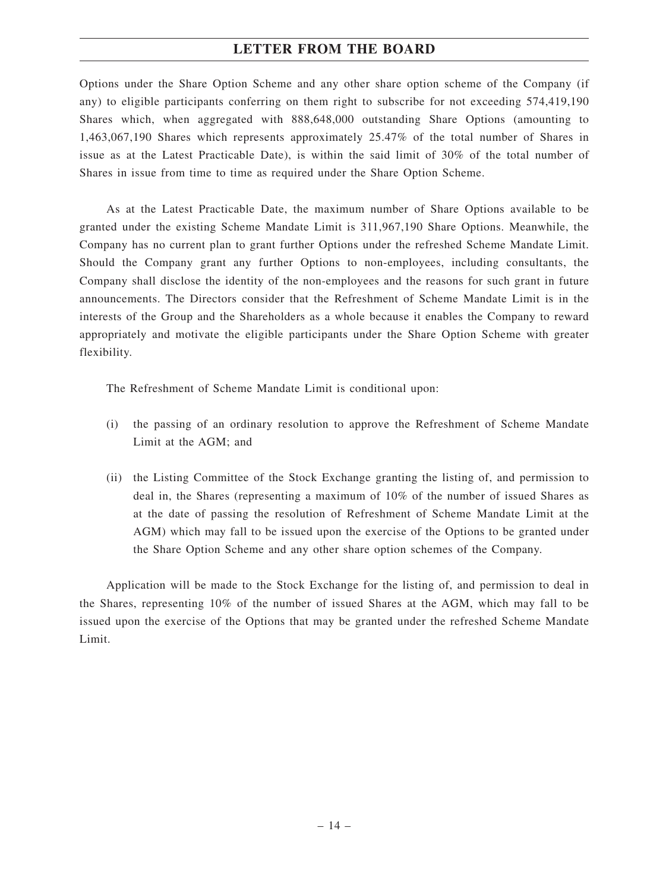Options under the Share Option Scheme and any other share option scheme of the Company (if any) to eligible participants conferring on them right to subscribe for not exceeding 574,419,190 Shares which, when aggregated with 888,648,000 outstanding Share Options (amounting to 1,463,067,190 Shares which represents approximately 25.47% of the total number of Shares in issue as at the Latest Practicable Date), is within the said limit of 30% of the total number of Shares in issue from time to time as required under the Share Option Scheme.

As at the Latest Practicable Date, the maximum number of Share Options available to be granted under the existing Scheme Mandate Limit is 311,967,190 Share Options. Meanwhile, the Company has no current plan to grant further Options under the refreshed Scheme Mandate Limit. Should the Company grant any further Options to non-employees, including consultants, the Company shall disclose the identity of the non-employees and the reasons for such grant in future announcements. The Directors consider that the Refreshment of Scheme Mandate Limit is in the interests of the Group and the Shareholders as a whole because it enables the Company to reward appropriately and motivate the eligible participants under the Share Option Scheme with greater flexibility.

The Refreshment of Scheme Mandate Limit is conditional upon:

- (i) the passing of an ordinary resolution to approve the Refreshment of Scheme Mandate Limit at the AGM; and
- (ii) the Listing Committee of the Stock Exchange granting the listing of, and permission to deal in, the Shares (representing a maximum of 10% of the number of issued Shares as at the date of passing the resolution of Refreshment of Scheme Mandate Limit at the AGM) which may fall to be issued upon the exercise of the Options to be granted under the Share Option Scheme and any other share option schemes of the Company.

Application will be made to the Stock Exchange for the listing of, and permission to deal in the Shares, representing 10% of the number of issued Shares at the AGM, which may fall to be issued upon the exercise of the Options that may be granted under the refreshed Scheme Mandate Limit.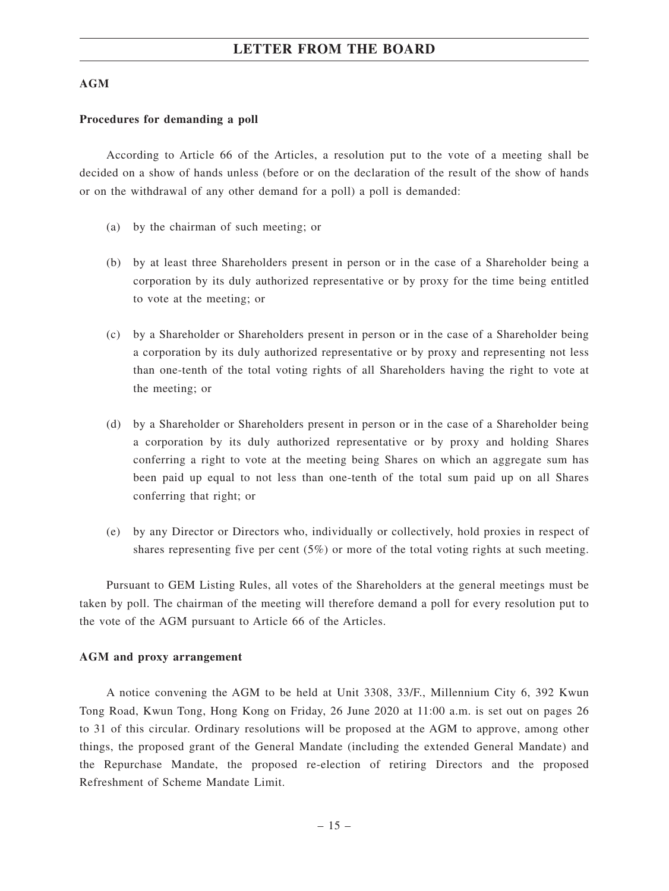#### **AGM**

#### **Procedures for demanding a poll**

According to Article 66 of the Articles, a resolution put to the vote of a meeting shall be decided on a show of hands unless (before or on the declaration of the result of the show of hands or on the withdrawal of any other demand for a poll) a poll is demanded:

- (a) by the chairman of such meeting; or
- (b) by at least three Shareholders present in person or in the case of a Shareholder being a corporation by its duly authorized representative or by proxy for the time being entitled to vote at the meeting; or
- (c) by a Shareholder or Shareholders present in person or in the case of a Shareholder being a corporation by its duly authorized representative or by proxy and representing not less than one-tenth of the total voting rights of all Shareholders having the right to vote at the meeting; or
- (d) by a Shareholder or Shareholders present in person or in the case of a Shareholder being a corporation by its duly authorized representative or by proxy and holding Shares conferring a right to vote at the meeting being Shares on which an aggregate sum has been paid up equal to not less than one-tenth of the total sum paid up on all Shares conferring that right; or
- (e) by any Director or Directors who, individually or collectively, hold proxies in respect of shares representing five per cent (5%) or more of the total voting rights at such meeting.

Pursuant to GEM Listing Rules, all votes of the Shareholders at the general meetings must be taken by poll. The chairman of the meeting will therefore demand a poll for every resolution put to the vote of the AGM pursuant to Article 66 of the Articles.

#### **AGM and proxy arrangement**

A notice convening the AGM to be held at Unit 3308, 33/F., Millennium City 6, 392 Kwun Tong Road, Kwun Tong, Hong Kong on Friday, 26 June 2020 at 11:00 a.m. is set out on pages 26 to 31 of this circular. Ordinary resolutions will be proposed at the AGM to approve, among other things, the proposed grant of the General Mandate (including the extended General Mandate) and the Repurchase Mandate, the proposed re-election of retiring Directors and the proposed Refreshment of Scheme Mandate Limit.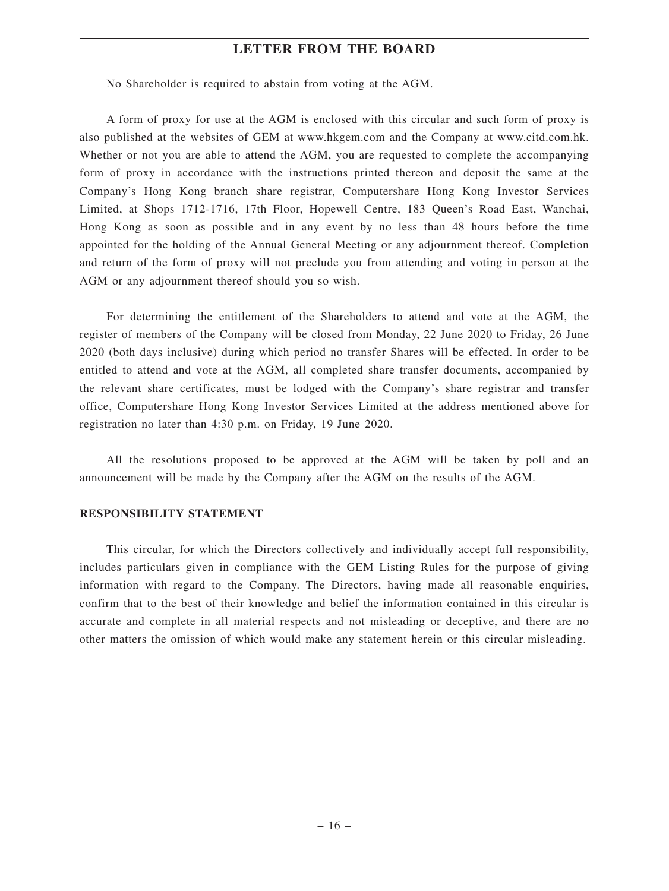No Shareholder is required to abstain from voting at the AGM.

A form of proxy for use at the AGM is enclosed with this circular and such form of proxy is also published at the websites of GEM at www.hkgem.com and the Company at www.citd.com.hk. Whether or not you are able to attend the AGM, you are requested to complete the accompanying form of proxy in accordance with the instructions printed thereon and deposit the same at the Company's Hong Kong branch share registrar, Computershare Hong Kong Investor Services Limited, at Shops 1712-1716, 17th Floor, Hopewell Centre, 183 Queen's Road East, Wanchai, Hong Kong as soon as possible and in any event by no less than 48 hours before the time appointed for the holding of the Annual General Meeting or any adjournment thereof. Completion and return of the form of proxy will not preclude you from attending and voting in person at the AGM or any adjournment thereof should you so wish.

For determining the entitlement of the Shareholders to attend and vote at the AGM, the register of members of the Company will be closed from Monday, 22 June 2020 to Friday, 26 June 2020 (both days inclusive) during which period no transfer Shares will be effected. In order to be entitled to attend and vote at the AGM, all completed share transfer documents, accompanied by the relevant share certificates, must be lodged with the Company's share registrar and transfer office, Computershare Hong Kong Investor Services Limited at the address mentioned above for registration no later than 4:30 p.m. on Friday, 19 June 2020.

All the resolutions proposed to be approved at the AGM will be taken by poll and an announcement will be made by the Company after the AGM on the results of the AGM.

#### **RESPONSIBILITY STATEMENT**

This circular, for which the Directors collectively and individually accept full responsibility, includes particulars given in compliance with the GEM Listing Rules for the purpose of giving information with regard to the Company. The Directors, having made all reasonable enquiries, confirm that to the best of their knowledge and belief the information contained in this circular is accurate and complete in all material respects and not misleading or deceptive, and there are no other matters the omission of which would make any statement herein or this circular misleading.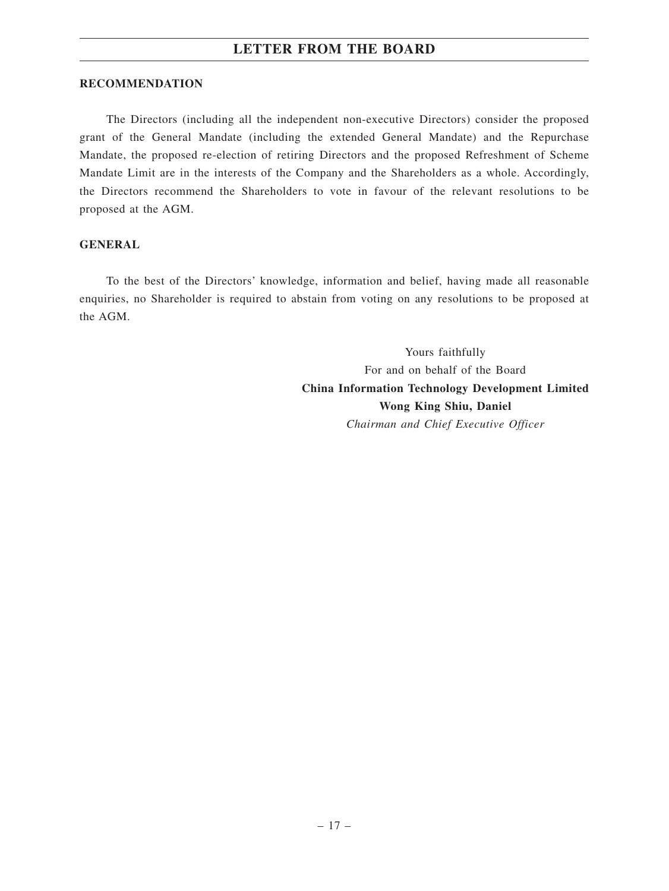#### **RECOMMENDATION**

The Directors (including all the independent non-executive Directors) consider the proposed grant of the General Mandate (including the extended General Mandate) and the Repurchase Mandate, the proposed re-election of retiring Directors and the proposed Refreshment of Scheme Mandate Limit are in the interests of the Company and the Shareholders as a whole. Accordingly, the Directors recommend the Shareholders to vote in favour of the relevant resolutions to be proposed at the AGM.

#### **GENERAL**

To the best of the Directors' knowledge, information and belief, having made all reasonable enquiries, no Shareholder is required to abstain from voting on any resolutions to be proposed at the AGM.

> Yours faithfully For and on behalf of the Board **China Information Technology Development Limited Wong King Shiu, Daniel** *Chairman and Chief Executive Officer*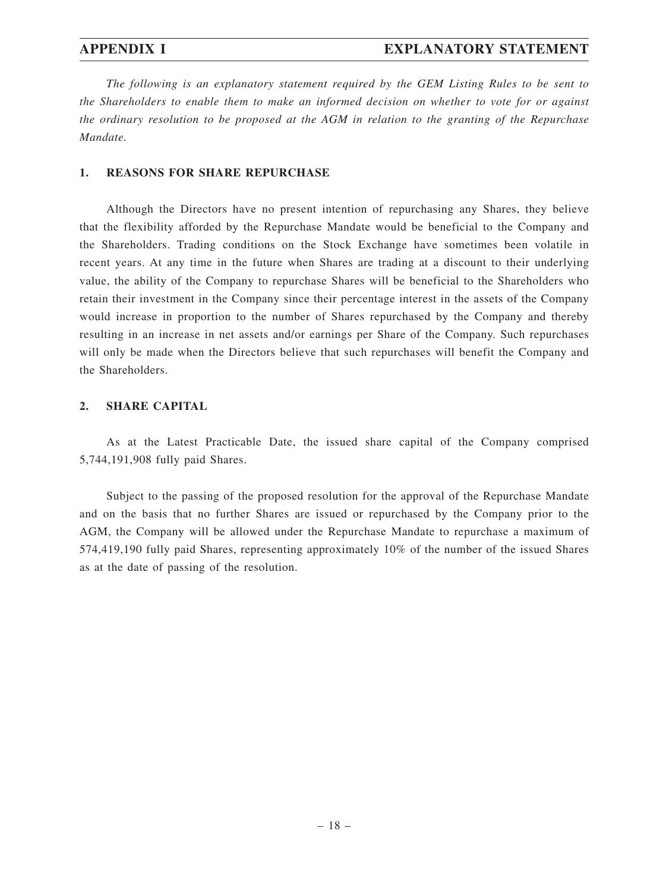*The following is an explanatory statement required by the GEM Listing Rules to be sent to the Shareholders to enable them to make an informed decision on whether to vote for or against the ordinary resolution to be proposed at the AGM in relation to the granting of the Repurchase Mandate.*

### **1. REASONS FOR SHARE REPURCHASE**

Although the Directors have no present intention of repurchasing any Shares, they believe that the flexibility afforded by the Repurchase Mandate would be beneficial to the Company and the Shareholders. Trading conditions on the Stock Exchange have sometimes been volatile in recent years. At any time in the future when Shares are trading at a discount to their underlying value, the ability of the Company to repurchase Shares will be beneficial to the Shareholders who retain their investment in the Company since their percentage interest in the assets of the Company would increase in proportion to the number of Shares repurchased by the Company and thereby resulting in an increase in net assets and/or earnings per Share of the Company. Such repurchases will only be made when the Directors believe that such repurchases will benefit the Company and the Shareholders.

#### **2. SHARE CAPITAL**

As at the Latest Practicable Date, the issued share capital of the Company comprised 5,744,191,908 fully paid Shares.

Subject to the passing of the proposed resolution for the approval of the Repurchase Mandate and on the basis that no further Shares are issued or repurchased by the Company prior to the AGM, the Company will be allowed under the Repurchase Mandate to repurchase a maximum of 574,419,190 fully paid Shares, representing approximately 10% of the number of the issued Shares as at the date of passing of the resolution.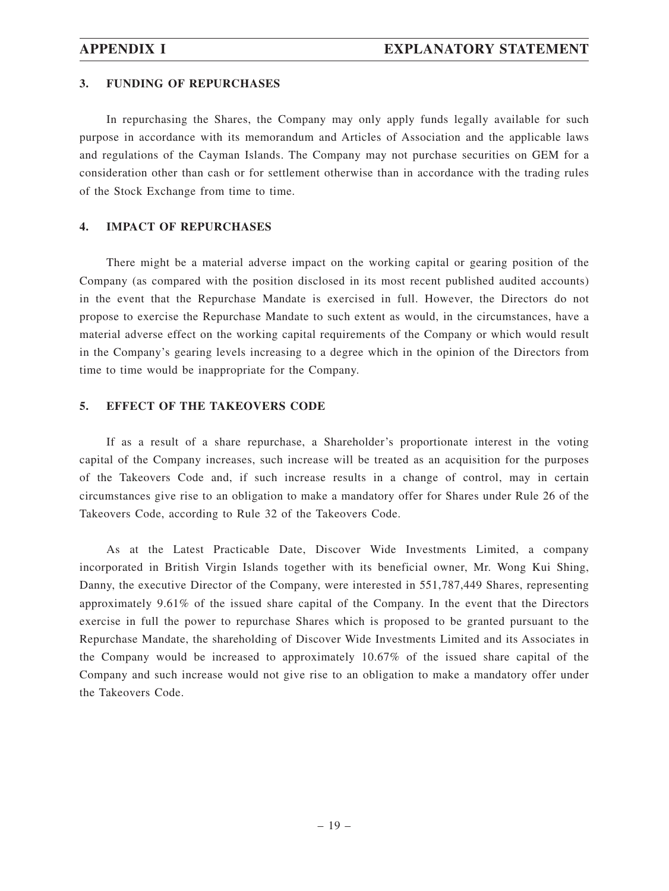#### **3. FUNDING OF REPURCHASES**

In repurchasing the Shares, the Company may only apply funds legally available for such purpose in accordance with its memorandum and Articles of Association and the applicable laws and regulations of the Cayman Islands. The Company may not purchase securities on GEM for a consideration other than cash or for settlement otherwise than in accordance with the trading rules of the Stock Exchange from time to time.

## **4. IMPACT OF REPURCHASES**

There might be a material adverse impact on the working capital or gearing position of the Company (as compared with the position disclosed in its most recent published audited accounts) in the event that the Repurchase Mandate is exercised in full. However, the Directors do not propose to exercise the Repurchase Mandate to such extent as would, in the circumstances, have a material adverse effect on the working capital requirements of the Company or which would result in the Company's gearing levels increasing to a degree which in the opinion of the Directors from time to time would be inappropriate for the Company.

#### **5. EFFECT OF THE TAKEOVERS CODE**

If as a result of a share repurchase, a Shareholder's proportionate interest in the voting capital of the Company increases, such increase will be treated as an acquisition for the purposes of the Takeovers Code and, if such increase results in a change of control, may in certain circumstances give rise to an obligation to make a mandatory offer for Shares under Rule 26 of the Takeovers Code, according to Rule 32 of the Takeovers Code.

As at the Latest Practicable Date, Discover Wide Investments Limited, a company incorporated in British Virgin Islands together with its beneficial owner, Mr. Wong Kui Shing, Danny, the executive Director of the Company, were interested in 551,787,449 Shares, representing approximately 9.61% of the issued share capital of the Company. In the event that the Directors exercise in full the power to repurchase Shares which is proposed to be granted pursuant to the Repurchase Mandate, the shareholding of Discover Wide Investments Limited and its Associates in the Company would be increased to approximately 10.67% of the issued share capital of the Company and such increase would not give rise to an obligation to make a mandatory offer under the Takeovers Code.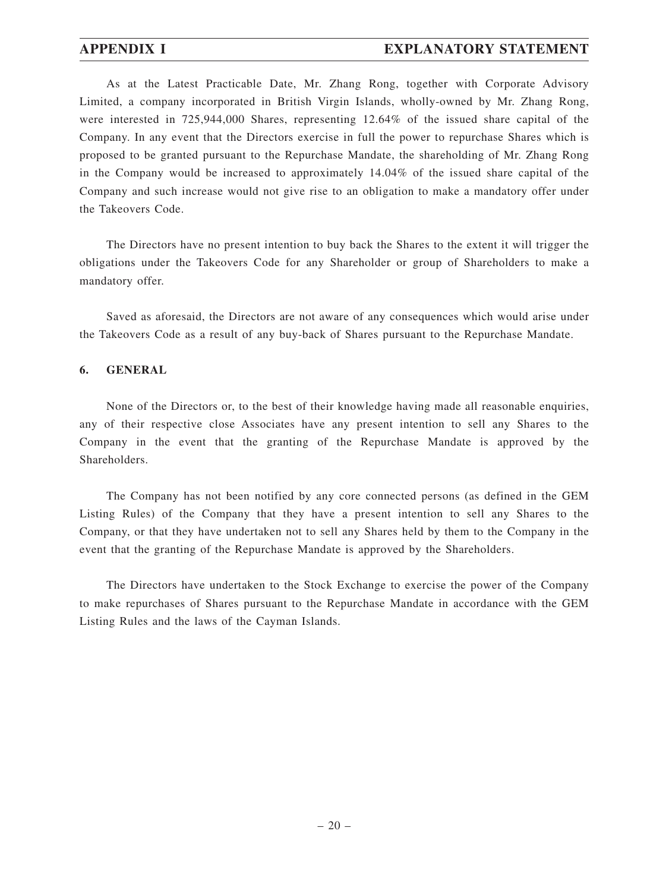## **APPENDIX I EXPLANATORY STATEMENT**

As at the Latest Practicable Date, Mr. Zhang Rong, together with Corporate Advisory Limited, a company incorporated in British Virgin Islands, wholly-owned by Mr. Zhang Rong, were interested in 725,944,000 Shares, representing 12.64% of the issued share capital of the Company. In any event that the Directors exercise in full the power to repurchase Shares which is proposed to be granted pursuant to the Repurchase Mandate, the shareholding of Mr. Zhang Rong in the Company would be increased to approximately 14.04% of the issued share capital of the Company and such increase would not give rise to an obligation to make a mandatory offer under the Takeovers Code.

The Directors have no present intention to buy back the Shares to the extent it will trigger the obligations under the Takeovers Code for any Shareholder or group of Shareholders to make a mandatory offer.

Saved as aforesaid, the Directors are not aware of any consequences which would arise under the Takeovers Code as a result of any buy-back of Shares pursuant to the Repurchase Mandate.

#### **6. GENERAL**

None of the Directors or, to the best of their knowledge having made all reasonable enquiries, any of their respective close Associates have any present intention to sell any Shares to the Company in the event that the granting of the Repurchase Mandate is approved by the Shareholders.

The Company has not been notified by any core connected persons (as defined in the GEM Listing Rules) of the Company that they have a present intention to sell any Shares to the Company, or that they have undertaken not to sell any Shares held by them to the Company in the event that the granting of the Repurchase Mandate is approved by the Shareholders.

The Directors have undertaken to the Stock Exchange to exercise the power of the Company to make repurchases of Shares pursuant to the Repurchase Mandate in accordance with the GEM Listing Rules and the laws of the Cayman Islands.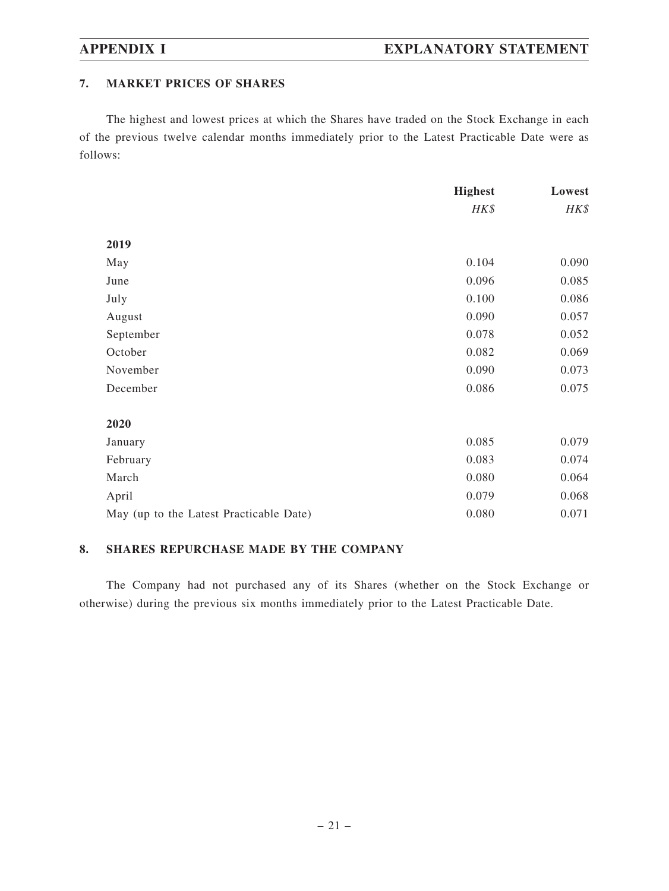## **7. MARKET PRICES OF SHARES**

The highest and lowest prices at which the Shares have traded on the Stock Exchange in each of the previous twelve calendar months immediately prior to the Latest Practicable Date were as follows:

|                                         | <b>Highest</b> | Lowest |
|-----------------------------------------|----------------|--------|
|                                         | HK\$           | HK\$   |
|                                         |                |        |
| 2019                                    |                |        |
| May                                     | 0.104          | 0.090  |
| June                                    | 0.096          | 0.085  |
| July                                    | 0.100          | 0.086  |
| August                                  | 0.090          | 0.057  |
| September                               | 0.078          | 0.052  |
| October                                 | 0.082          | 0.069  |
| November                                | 0.090          | 0.073  |
| December                                | 0.086          | 0.075  |
| 2020                                    |                |        |
| January                                 | 0.085          | 0.079  |
| February                                | 0.083          | 0.074  |
| March                                   | 0.080          | 0.064  |
| April                                   | 0.079          | 0.068  |
| May (up to the Latest Practicable Date) | 0.080          | 0.071  |

### **8. SHARES REPURCHASE MADE BY THE COMPANY**

The Company had not purchased any of its Shares (whether on the Stock Exchange or otherwise) during the previous six months immediately prior to the Latest Practicable Date.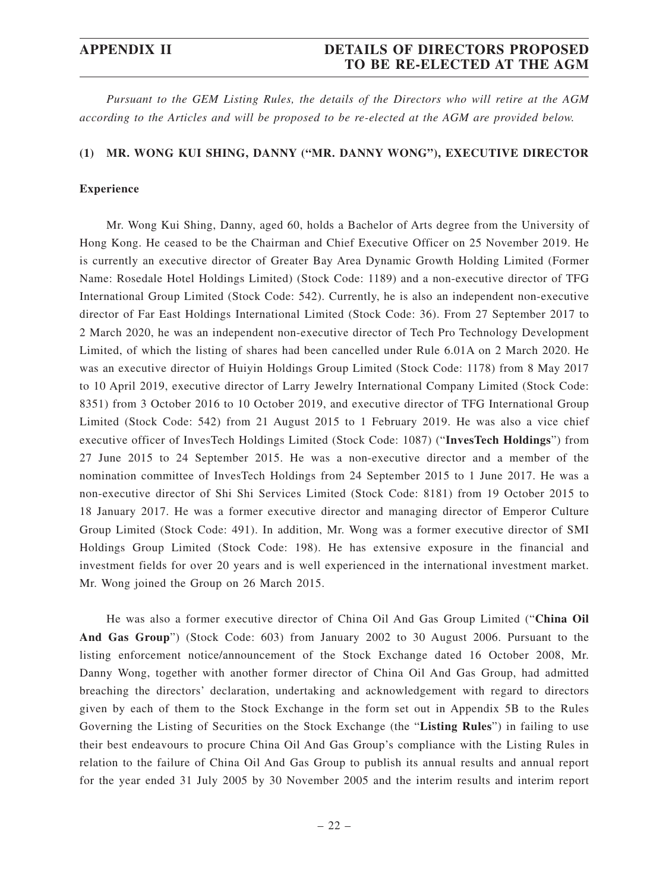## **APPENDIX II DETAILS OF DIRECTORS PROPOSED TO BE RE-ELECTED AT THE AGM**

*Pursuant to the GEM Listing Rules, the details of the Directors who will retire at the AGM according to the Articles and will be proposed to be re-elected at the AGM are provided below.*

#### **(1) MR. WONG KUI SHING, DANNY ("MR. DANNY WONG"), EXECUTIVE DIRECTOR**

#### **Experience**

Mr. Wong Kui Shing, Danny, aged 60, holds a Bachelor of Arts degree from the University of Hong Kong. He ceased to be the Chairman and Chief Executive Officer on 25 November 2019. He is currently an executive director of Greater Bay Area Dynamic Growth Holding Limited (Former Name: Rosedale Hotel Holdings Limited) (Stock Code: 1189) and a non-executive director of TFG International Group Limited (Stock Code: 542). Currently, he is also an independent non-executive director of Far East Holdings International Limited (Stock Code: 36). From 27 September 2017 to 2 March 2020, he was an independent non-executive director of Tech Pro Technology Development Limited, of which the listing of shares had been cancelled under Rule 6.01A on 2 March 2020. He was an executive director of Huiyin Holdings Group Limited (Stock Code: 1178) from 8 May 2017 to 10 April 2019, executive director of Larry Jewelry International Company Limited (Stock Code: 8351) from 3 October 2016 to 10 October 2019, and executive director of TFG International Group Limited (Stock Code: 542) from 21 August 2015 to 1 February 2019. He was also a vice chief executive officer of InvesTech Holdings Limited (Stock Code: 1087) ("**InvesTech Holdings**") from 27 June 2015 to 24 September 2015. He was a non-executive director and a member of the nomination committee of InvesTech Holdings from 24 September 2015 to 1 June 2017. He was a non-executive director of Shi Shi Services Limited (Stock Code: 8181) from 19 October 2015 to 18 January 2017. He was a former executive director and managing director of Emperor Culture Group Limited (Stock Code: 491). In addition, Mr. Wong was a former executive director of SMI Holdings Group Limited (Stock Code: 198). He has extensive exposure in the financial and investment fields for over 20 years and is well experienced in the international investment market. Mr. Wong joined the Group on 26 March 2015.

He was also a former executive director of China Oil And Gas Group Limited ("**China Oil And Gas Group**") (Stock Code: 603) from January 2002 to 30 August 2006. Pursuant to the listing enforcement notice/announcement of the Stock Exchange dated 16 October 2008, Mr. Danny Wong, together with another former director of China Oil And Gas Group, had admitted breaching the directors' declaration, undertaking and acknowledgement with regard to directors given by each of them to the Stock Exchange in the form set out in Appendix 5B to the Rules Governing the Listing of Securities on the Stock Exchange (the "**Listing Rules**") in failing to use their best endeavours to procure China Oil And Gas Group's compliance with the Listing Rules in relation to the failure of China Oil And Gas Group to publish its annual results and annual report for the year ended 31 July 2005 by 30 November 2005 and the interim results and interim report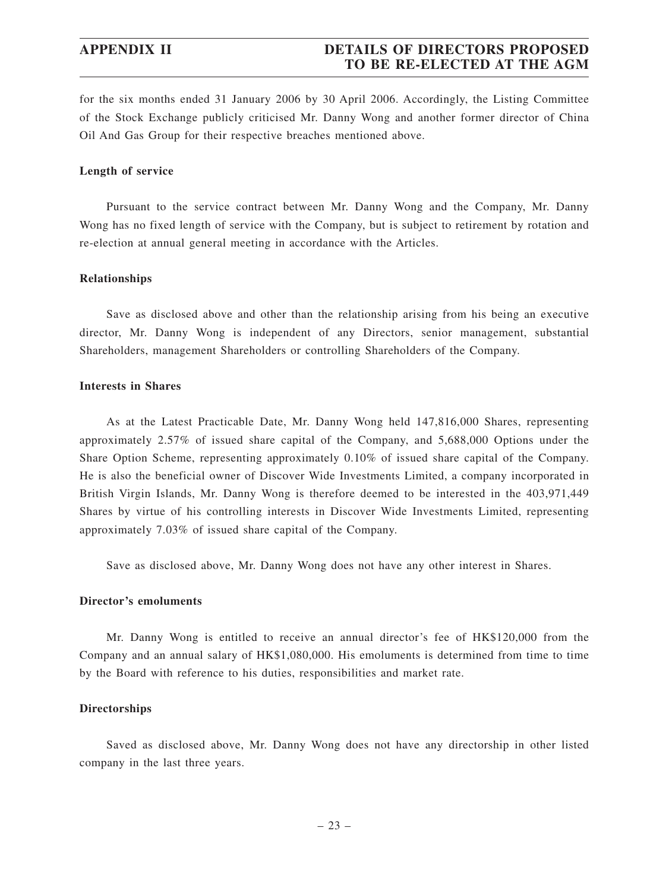## **APPENDIX II DETAILS OF DIRECTORS PROPOSED TO BE RE-ELECTED AT THE AGM**

for the six months ended 31 January 2006 by 30 April 2006. Accordingly, the Listing Committee of the Stock Exchange publicly criticised Mr. Danny Wong and another former director of China Oil And Gas Group for their respective breaches mentioned above.

#### **Length of service**

Pursuant to the service contract between Mr. Danny Wong and the Company, Mr. Danny Wong has no fixed length of service with the Company, but is subject to retirement by rotation and re-election at annual general meeting in accordance with the Articles.

#### **Relationships**

Save as disclosed above and other than the relationship arising from his being an executive director, Mr. Danny Wong is independent of any Directors, senior management, substantial Shareholders, management Shareholders or controlling Shareholders of the Company.

#### **Interests in Shares**

As at the Latest Practicable Date, Mr. Danny Wong held 147,816,000 Shares, representing approximately 2.57% of issued share capital of the Company, and 5,688,000 Options under the Share Option Scheme, representing approximately 0.10% of issued share capital of the Company. He is also the beneficial owner of Discover Wide Investments Limited, a company incorporated in British Virgin Islands, Mr. Danny Wong is therefore deemed to be interested in the 403,971,449 Shares by virtue of his controlling interests in Discover Wide Investments Limited, representing approximately 7.03% of issued share capital of the Company.

Save as disclosed above, Mr. Danny Wong does not have any other interest in Shares.

### **Director's emoluments**

Mr. Danny Wong is entitled to receive an annual director's fee of HK\$120,000 from the Company and an annual salary of HK\$1,080,000. His emoluments is determined from time to time by the Board with reference to his duties, responsibilities and market rate.

#### **Directorships**

Saved as disclosed above, Mr. Danny Wong does not have any directorship in other listed company in the last three years.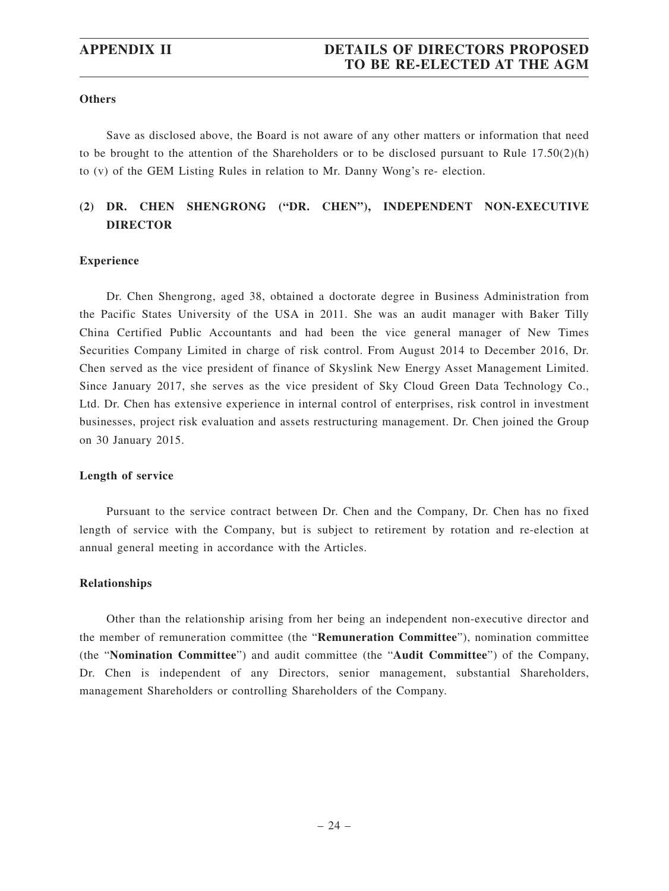## **APPENDIX II DETAILS OF DIRECTORS PROPOSED TO BE RE-ELECTED AT THE AGM**

#### **Others**

Save as disclosed above, the Board is not aware of any other matters or information that need to be brought to the attention of the Shareholders or to be disclosed pursuant to Rule  $17.50(2)(h)$ to (v) of the GEM Listing Rules in relation to Mr. Danny Wong's re- election.

## **(2) DR. CHEN SHENGRONG ("DR. CHEN"), INDEPENDENT NON-EXECUTIVE DIRECTOR**

#### **Experience**

Dr. Chen Shengrong, aged 38, obtained a doctorate degree in Business Administration from the Pacific States University of the USA in 2011. She was an audit manager with Baker Tilly China Certified Public Accountants and had been the vice general manager of New Times Securities Company Limited in charge of risk control. From August 2014 to December 2016, Dr. Chen served as the vice president of finance of Skyslink New Energy Asset Management Limited. Since January 2017, she serves as the vice president of Sky Cloud Green Data Technology Co., Ltd. Dr. Chen has extensive experience in internal control of enterprises, risk control in investment businesses, project risk evaluation and assets restructuring management. Dr. Chen joined the Group on 30 January 2015.

#### **Length of service**

Pursuant to the service contract between Dr. Chen and the Company, Dr. Chen has no fixed length of service with the Company, but is subject to retirement by rotation and re-election at annual general meeting in accordance with the Articles.

#### **Relationships**

Other than the relationship arising from her being an independent non-executive director and the member of remuneration committee (the "**Remuneration Committee**"), nomination committee (the "**Nomination Committee**") and audit committee (the "**Audit Committee**") of the Company, Dr. Chen is independent of any Directors, senior management, substantial Shareholders, management Shareholders or controlling Shareholders of the Company.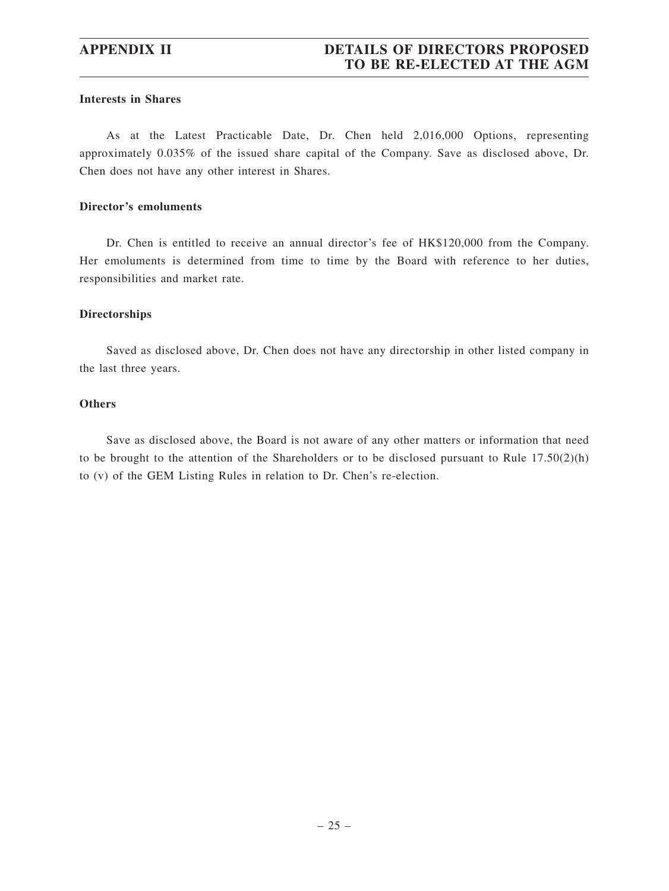#### **Interests in Shares**

As at the Latest Practicable Date, Dr. Chen held 2,016,000 Options, representing approximately 0.035% of the issued share capital of the Company. Save as disclosed above, Dr. Chen does not have any other interest in Shares.

#### **Director's emoluments**

Dr. Chen is entitled to receive an annual director's fee of HK\$120,000 from the Company. Her emoluments is determined from time to time by the Board with reference to her duties, responsibilities and market rate.

#### **Directorships**

Saved as disclosed above, Dr. Chen does not have any directorship in other listed company in the last three years.

#### **Others**

Save as disclosed above, the Board is not aware of any other matters or information that need to be brought to the attention of the Shareholders or to be disclosed pursuant to Rule  $17.50(2)(h)$ to (v) of the GEM Listing Rules in relation to Dr. Chen's re-election.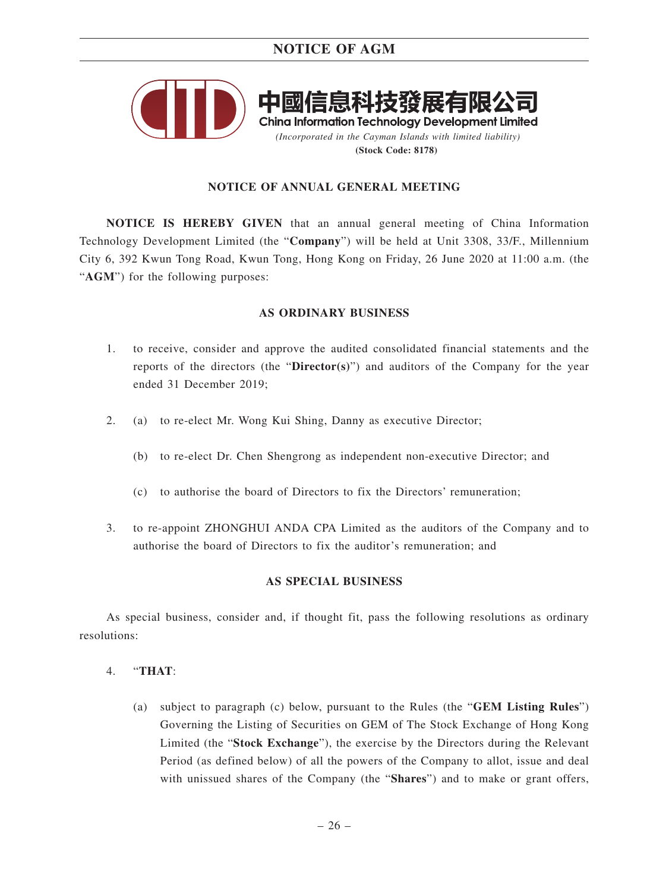

### **NOTICE OF ANNUAL GENERAL MEETING**

**NOTICE IS HEREBY GIVEN** that an annual general meeting of China Information Technology Development Limited (the "**Company**") will be held at Unit 3308, 33/F., Millennium City 6, 392 Kwun Tong Road, Kwun Tong, Hong Kong on Friday, 26 June 2020 at 11:00 a.m. (the "AGM") for the following purposes:

#### **AS ORDINARY BUSINESS**

- 1. to receive, consider and approve the audited consolidated financial statements and the reports of the directors (the "**Director(s)**") and auditors of the Company for the year ended 31 December 2019;
- 2. (a) to re-elect Mr. Wong Kui Shing, Danny as executive Director;
	- (b) to re-elect Dr. Chen Shengrong as independent non-executive Director; and
	- (c) to authorise the board of Directors to fix the Directors' remuneration;
- 3. to re-appoint ZHONGHUI ANDA CPA Limited as the auditors of the Company and to authorise the board of Directors to fix the auditor's remuneration; and

#### **AS SPECIAL BUSINESS**

As special business, consider and, if thought fit, pass the following resolutions as ordinary resolutions:

- 4. "**THAT**:
	- (a) subject to paragraph (c) below, pursuant to the Rules (the "**GEM Listing Rules**") Governing the Listing of Securities on GEM of The Stock Exchange of Hong Kong Limited (the "**Stock Exchange**"), the exercise by the Directors during the Relevant Period (as defined below) of all the powers of the Company to allot, issue and deal with unissued shares of the Company (the "**Shares**") and to make or grant offers,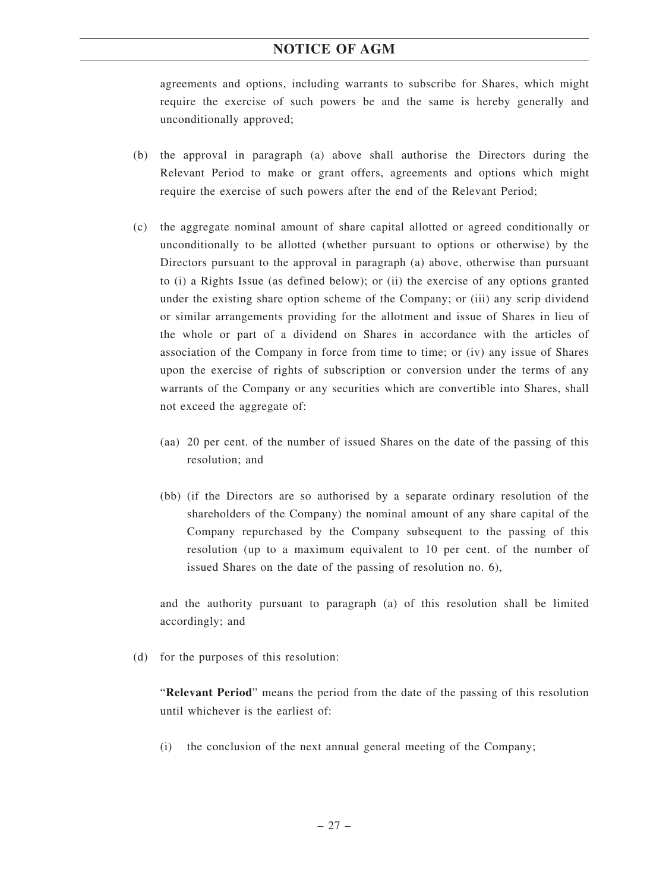agreements and options, including warrants to subscribe for Shares, which might require the exercise of such powers be and the same is hereby generally and unconditionally approved;

- (b) the approval in paragraph (a) above shall authorise the Directors during the Relevant Period to make or grant offers, agreements and options which might require the exercise of such powers after the end of the Relevant Period;
- (c) the aggregate nominal amount of share capital allotted or agreed conditionally or unconditionally to be allotted (whether pursuant to options or otherwise) by the Directors pursuant to the approval in paragraph (a) above, otherwise than pursuant to (i) a Rights Issue (as defined below); or (ii) the exercise of any options granted under the existing share option scheme of the Company; or (iii) any scrip dividend or similar arrangements providing for the allotment and issue of Shares in lieu of the whole or part of a dividend on Shares in accordance with the articles of association of the Company in force from time to time; or (iv) any issue of Shares upon the exercise of rights of subscription or conversion under the terms of any warrants of the Company or any securities which are convertible into Shares, shall not exceed the aggregate of:
	- (aa) 20 per cent. of the number of issued Shares on the date of the passing of this resolution; and
	- (bb) (if the Directors are so authorised by a separate ordinary resolution of the shareholders of the Company) the nominal amount of any share capital of the Company repurchased by the Company subsequent to the passing of this resolution (up to a maximum equivalent to 10 per cent. of the number of issued Shares on the date of the passing of resolution no. 6),

and the authority pursuant to paragraph (a) of this resolution shall be limited accordingly; and

(d) for the purposes of this resolution:

"**Relevant Period**" means the period from the date of the passing of this resolution until whichever is the earliest of:

(i) the conclusion of the next annual general meeting of the Company;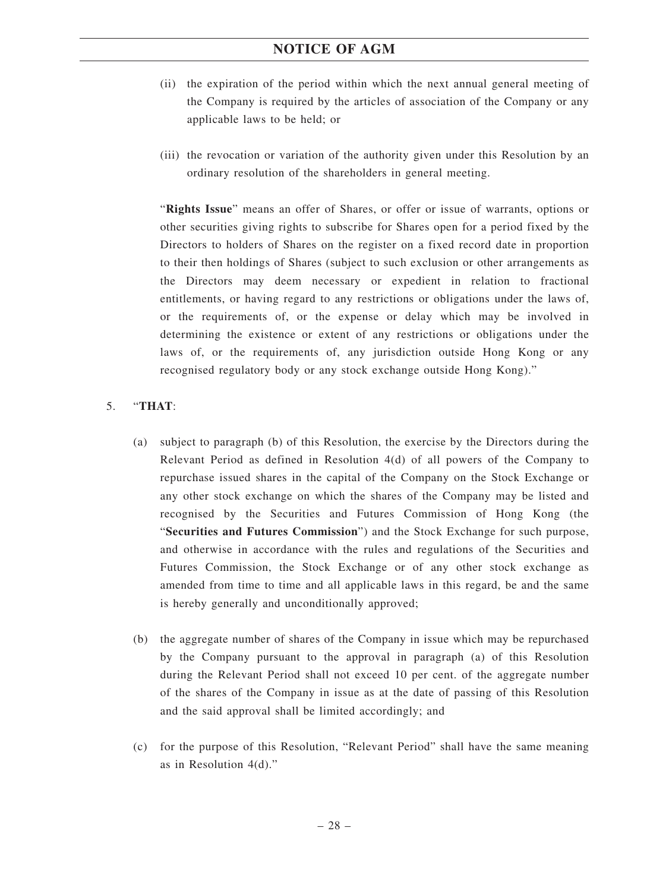- (ii) the expiration of the period within which the next annual general meeting of the Company is required by the articles of association of the Company or any applicable laws to be held; or
- (iii) the revocation or variation of the authority given under this Resolution by an ordinary resolution of the shareholders in general meeting.

"**Rights Issue**" means an offer of Shares, or offer or issue of warrants, options or other securities giving rights to subscribe for Shares open for a period fixed by the Directors to holders of Shares on the register on a fixed record date in proportion to their then holdings of Shares (subject to such exclusion or other arrangements as the Directors may deem necessary or expedient in relation to fractional entitlements, or having regard to any restrictions or obligations under the laws of, or the requirements of, or the expense or delay which may be involved in determining the existence or extent of any restrictions or obligations under the laws of, or the requirements of, any jurisdiction outside Hong Kong or any recognised regulatory body or any stock exchange outside Hong Kong)."

#### 5. "**THAT**:

- (a) subject to paragraph (b) of this Resolution, the exercise by the Directors during the Relevant Period as defined in Resolution 4(d) of all powers of the Company to repurchase issued shares in the capital of the Company on the Stock Exchange or any other stock exchange on which the shares of the Company may be listed and recognised by the Securities and Futures Commission of Hong Kong (the "**Securities and Futures Commission**") and the Stock Exchange for such purpose, and otherwise in accordance with the rules and regulations of the Securities and Futures Commission, the Stock Exchange or of any other stock exchange as amended from time to time and all applicable laws in this regard, be and the same is hereby generally and unconditionally approved;
- (b) the aggregate number of shares of the Company in issue which may be repurchased by the Company pursuant to the approval in paragraph (a) of this Resolution during the Relevant Period shall not exceed 10 per cent. of the aggregate number of the shares of the Company in issue as at the date of passing of this Resolution and the said approval shall be limited accordingly; and
- (c) for the purpose of this Resolution, "Relevant Period" shall have the same meaning as in Resolution 4(d)."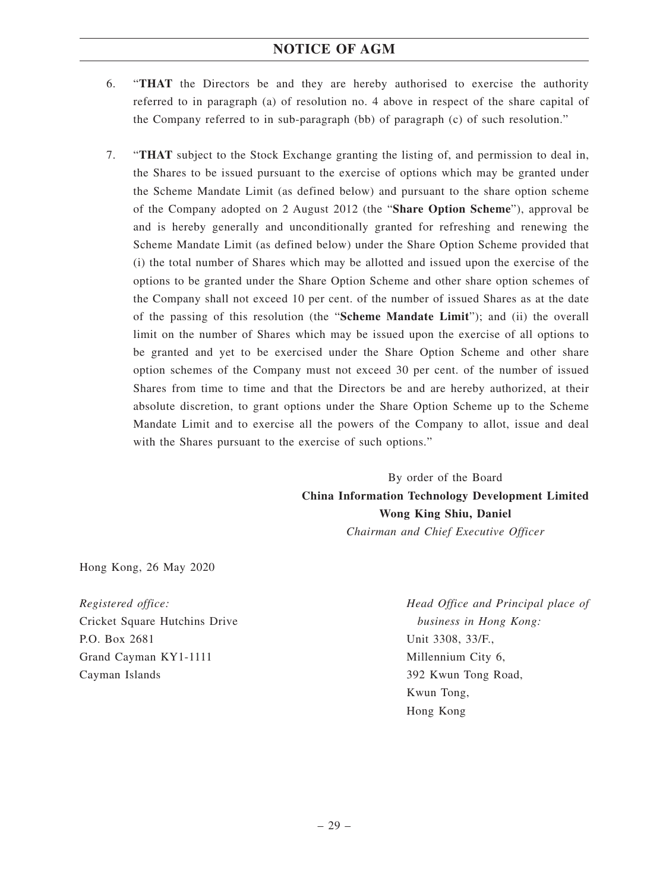- 6. "**THAT** the Directors be and they are hereby authorised to exercise the authority referred to in paragraph (a) of resolution no. 4 above in respect of the share capital of the Company referred to in sub-paragraph (bb) of paragraph (c) of such resolution."
- 7. "**THAT** subject to the Stock Exchange granting the listing of, and permission to deal in, the Shares to be issued pursuant to the exercise of options which may be granted under the Scheme Mandate Limit (as defined below) and pursuant to the share option scheme of the Company adopted on 2 August 2012 (the "**Share Option Scheme**"), approval be and is hereby generally and unconditionally granted for refreshing and renewing the Scheme Mandate Limit (as defined below) under the Share Option Scheme provided that (i) the total number of Shares which may be allotted and issued upon the exercise of the options to be granted under the Share Option Scheme and other share option schemes of the Company shall not exceed 10 per cent. of the number of issued Shares as at the date of the passing of this resolution (the "**Scheme Mandate Limit**"); and (ii) the overall limit on the number of Shares which may be issued upon the exercise of all options to be granted and yet to be exercised under the Share Option Scheme and other share option schemes of the Company must not exceed 30 per cent. of the number of issued Shares from time to time and that the Directors be and are hereby authorized, at their absolute discretion, to grant options under the Share Option Scheme up to the Scheme Mandate Limit and to exercise all the powers of the Company to allot, issue and deal with the Shares pursuant to the exercise of such options."

By order of the Board **China Information Technology Development Limited Wong King Shiu, Daniel** *Chairman and Chief Executive Officer*

Hong Kong, 26 May 2020

*Registered office:* Cricket Square Hutchins Drive P.O. Box 2681 Grand Cayman KY1-1111 Cayman Islands

*Head Office and Principal place of business in Hong Kong:* Unit 3308, 33/F., Millennium City 6, 392 Kwun Tong Road, Kwun Tong, Hong Kong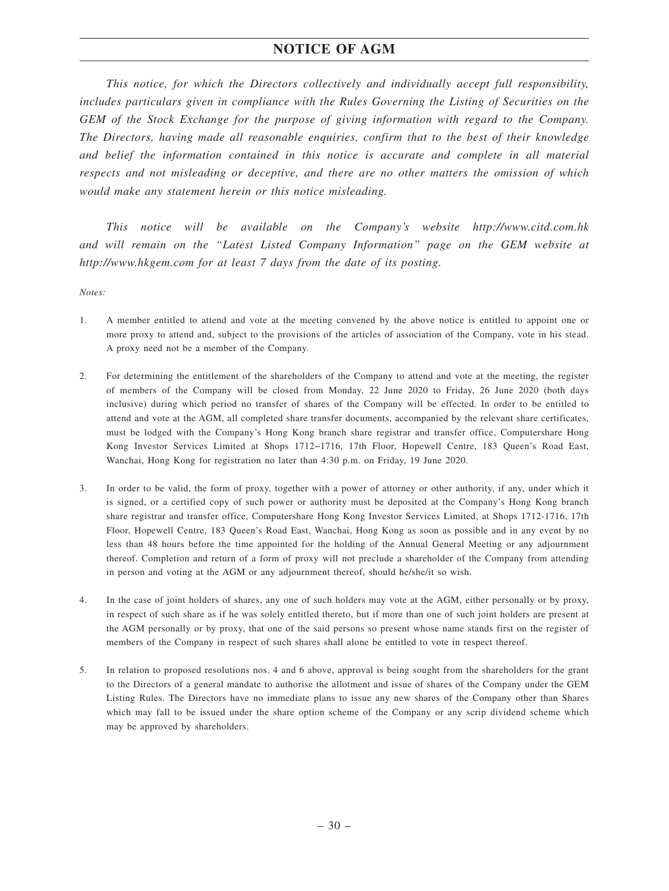*This notice, for which the Directors collectively and individually accept full responsibility, includes particulars given in compliance with the Rules Governing the Listing of Securities on the GEM of the Stock Exchange for the purpose of giving information with regard to the Company. The Directors, having made all reasonable enquiries, confirm that to the best of their knowledge and belief the information contained in this notice is accurate and complete in all material respects and not misleading or deceptive, and there are no other matters the omission of which would make any statement herein or this notice misleading.*

*This notice will be available on the Company's website http://www.citd.com.hk and will remain on the "Latest Listed Company Information" page on the GEM website at http://www.hkgem.com for at least 7 days from the date of its posting.*

*Notes:*

- 1. A member entitled to attend and vote at the meeting convened by the above notice is entitled to appoint one or more proxy to attend and, subject to the provisions of the articles of association of the Company, vote in his stead. A proxy need not be a member of the Company.
- 2. For determining the entitlement of the shareholders of the Company to attend and vote at the meeting, the register of members of the Company will be closed from Monday, 22 June 2020 to Friday, 26 June 2020 (both days inclusive) during which period no transfer of shares of the Company will be effected. In order to be entitled to attend and vote at the AGM, all completed share transfer documents, accompanied by the relevant share certificates, must be lodged with the Company's Hong Kong branch share registrar and transfer office, Computershare Hong Kong Investor Services Limited at Shops 1712−1716, 17th Floor, Hopewell Centre, 183 Queen's Road East, Wanchai, Hong Kong for registration no later than 4:30 p.m. on Friday, 19 June 2020.
- 3. In order to be valid, the form of proxy, together with a power of attorney or other authority, if any, under which it is signed, or a certified copy of such power or authority must be deposited at the Company's Hong Kong branch share registrar and transfer office, Computershare Hong Kong Investor Services Limited, at Shops 1712-1716, 17th Floor, Hopewell Centre, 183 Queen's Road East, Wanchai, Hong Kong as soon as possible and in any event by no less than 48 hours before the time appointed for the holding of the Annual General Meeting or any adjournment thereof. Completion and return of a form of proxy will not preclude a shareholder of the Company from attending in person and voting at the AGM or any adjournment thereof, should he/she/it so wish.
- 4. In the case of joint holders of shares, any one of such holders may vote at the AGM, either personally or by proxy, in respect of such share as if he was solely entitled thereto, but if more than one of such joint holders are present at the AGM personally or by proxy, that one of the said persons so present whose name stands first on the register of members of the Company in respect of such shares shall alone be entitled to vote in respect thereof.
- 5. In relation to proposed resolutions nos. 4 and 6 above, approval is being sought from the shareholders for the grant to the Directors of a general mandate to authorise the allotment and issue of shares of the Company under the GEM Listing Rules. The Directors have no immediate plans to issue any new shares of the Company other than Shares which may fall to be issued under the share option scheme of the Company or any scrip dividend scheme which may be approved by shareholders.